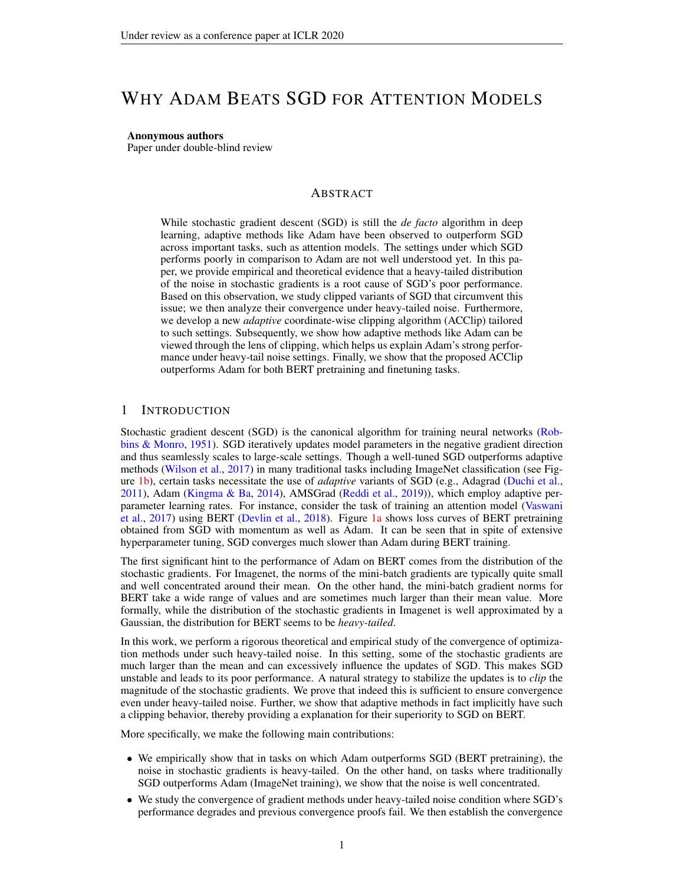# WHY ADAM BEATS SGD FOR ATTENTION MODELS

Anonymous authors

Paper under double-blind review

### ABSTRACT

While stochastic gradient descent (SGD) is still the *de facto* algorithm in deep learning, adaptive methods like Adam have been observed to outperform SGD across important tasks, such as attention models. The settings under which SGD performs poorly in comparison to Adam are not well understood yet. In this paper, we provide empirical and theoretical evidence that a heavy-tailed distribution of the noise in stochastic gradients is a root cause of SGD's poor performance. Based on this observation, we study clipped variants of SGD that circumvent this issue; we then analyze their convergence under heavy-tailed noise. Furthermore, we develop a new *adaptive* coordinate-wise clipping algorithm (ACClip) tailored to such settings. Subsequently, we show how adaptive methods like Adam can be viewed through the lens of clipping, which helps us explain Adam's strong performance under heavy-tail noise settings. Finally, we show that the proposed ACClip outperforms Adam for both BERT pretraining and finetuning tasks.

### 1 INTRODUCTION

Stochastic gradient descent (SGD) is the canonical algorithm for training neural networks [\(Rob](#page-8-0)[bins & Monro,](#page-8-0) [1951\)](#page-8-0). SGD iteratively updates model parameters in the negative gradient direction and thus seamlessly scales to large-scale settings. Though a well-tuned SGD outperforms adaptive methods [\(Wilson et al.,](#page-9-0) [2017\)](#page-9-0) in many traditional tasks including ImageNet classification (see Figure [1b\)](#page-1-0), certain tasks necessitate the use of *adaptive* variants of SGD (e.g., Adagrad [\(Duchi et al.,](#page-8-1) [2011\)](#page-8-1), Adam [\(Kingma & Ba,](#page-8-2) [2014\)](#page-8-2), AMSGrad [\(Reddi et al.,](#page-8-3) [2019\)](#page-8-3)), which employ adaptive perparameter learning rates. For instance, consider the task of training an attention model [\(Vaswani](#page-8-4) [et al.,](#page-8-4) [2017\)](#page-8-4) using BERT [\(Devlin et al.,](#page-8-5) [2018\)](#page-8-5). Figure [1a](#page-1-0) shows loss curves of BERT pretraining obtained from SGD with momentum as well as Adam. It can be seen that in spite of extensive hyperparameter tuning, SGD converges much slower than Adam during BERT training.

The first significant hint to the performance of Adam on BERT comes from the distribution of the stochastic gradients. For Imagenet, the norms of the mini-batch gradients are typically quite small and well concentrated around their mean. On the other hand, the mini-batch gradient norms for BERT take a wide range of values and are sometimes much larger than their mean value. More formally, while the distribution of the stochastic gradients in Imagenet is well approximated by a Gaussian, the distribution for BERT seems to be *heavy-tailed*.

In this work, we perform a rigorous theoretical and empirical study of the convergence of optimization methods under such heavy-tailed noise. In this setting, some of the stochastic gradients are much larger than the mean and can excessively influence the updates of SGD. This makes SGD unstable and leads to its poor performance. A natural strategy to stabilize the updates is to *clip* the magnitude of the stochastic gradients. We prove that indeed this is sufficient to ensure convergence even under heavy-tailed noise. Further, we show that adaptive methods in fact implicitly have such a clipping behavior, thereby providing a explanation for their superiority to SGD on BERT.

More specifically, we make the following main contributions:

- We empirically show that in tasks on which Adam outperforms SGD (BERT pretraining), the noise in stochastic gradients is heavy-tailed. On the other hand, on tasks where traditionally SGD outperforms Adam (ImageNet training), we show that the noise is well concentrated.
- We study the convergence of gradient methods under heavy-tailed noise condition where SGD's performance degrades and previous convergence proofs fail. We then establish the convergence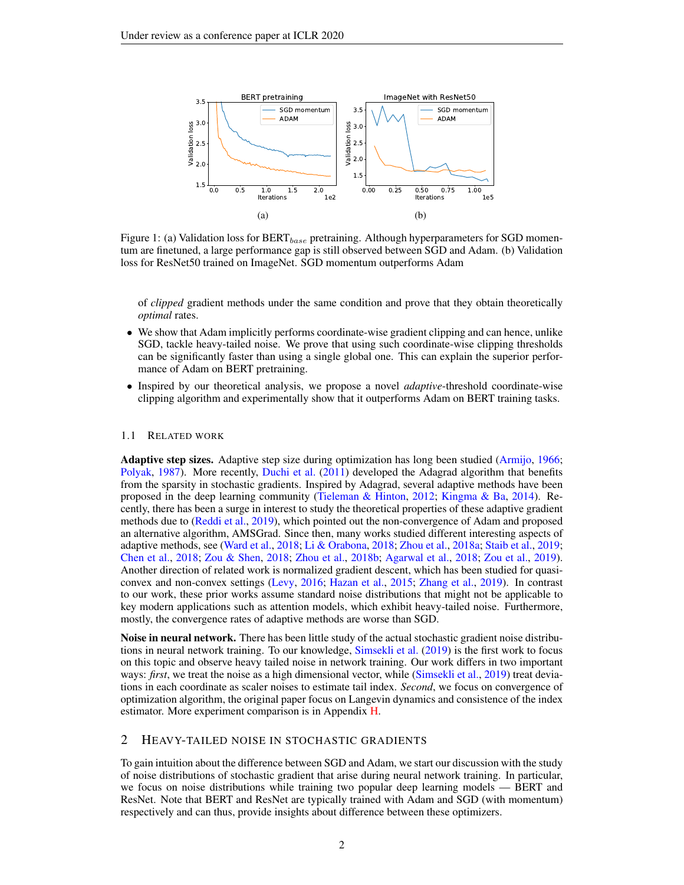<span id="page-1-0"></span>

Figure 1: (a) Validation loss for  $BERT_{base}$  pretraining. Although hyperparameters for SGD momentum are finetuned, a large performance gap is still observed between SGD and Adam. (b) Validation loss for ResNet50 trained on ImageNet. SGD momentum outperforms Adam

of *clipped* gradient methods under the same condition and prove that they obtain theoretically *optimal* rates.

- We show that Adam implicitly performs coordinate-wise gradient clipping and can hence, unlike SGD, tackle heavy-tailed noise. We prove that using such coordinate-wise clipping thresholds can be significantly faster than using a single global one. This can explain the superior performance of Adam on BERT pretraining.
- Inspired by our theoretical analysis, we propose a novel *adaptive*-threshold coordinate-wise clipping algorithm and experimentally show that it outperforms Adam on BERT training tasks.

#### 1.1 RELATED WORK

Adaptive step sizes. Adaptive step size during optimization has long been studied [\(Armijo,](#page-8-6) [1966;](#page-8-6) [Polyak,](#page-8-7) [1987\)](#page-8-7). More recently, [Duchi et al.](#page-8-1) [\(2011\)](#page-8-1) developed the Adagrad algorithm that benefits from the sparsity in stochastic gradients. Inspired by Adagrad, several adaptive methods have been proposed in the deep learning community [\(Tieleman & Hinton,](#page-8-8) [2012;](#page-8-8) [Kingma & Ba,](#page-8-2) [2014\)](#page-8-2). Recently, there has been a surge in interest to study the theoretical properties of these adaptive gradient methods due to [\(Reddi et al.,](#page-8-3) [2019\)](#page-8-3), which pointed out the non-convergence of Adam and proposed an alternative algorithm, AMSGrad. Since then, many works studied different interesting aspects of adaptive methods, see [\(Ward et al.,](#page-9-1) [2018;](#page-9-1) [Li & Orabona,](#page-8-9) [2018;](#page-8-9) [Zhou et al.,](#page-9-2) [2018a;](#page-9-2) [Staib et al.,](#page-8-10) [2019;](#page-8-10) [Chen et al.,](#page-8-11) [2018;](#page-8-11) [Zou & Shen,](#page-9-3) [2018;](#page-9-3) [Zhou et al.,](#page-9-4) [2018b;](#page-9-4) [Agarwal et al.,](#page-8-12) [2018;](#page-8-12) [Zou et al.,](#page-9-5) [2019\)](#page-9-5). Another direction of related work is normalized gradient descent, which has been studied for quasiconvex and non-convex settings [\(Levy,](#page-8-13) [2016;](#page-8-13) [Hazan et al.,](#page-8-14) [2015;](#page-8-14) [Zhang et al.,](#page-9-6) [2019\)](#page-9-6). In contrast to our work, these prior works assume standard noise distributions that might not be applicable to key modern applications such as attention models, which exhibit heavy-tailed noise. Furthermore, mostly, the convergence rates of adaptive methods are worse than SGD.

Noise in neural network. There has been little study of the actual stochastic gradient noise distributions in neural network training. To our knowledge, [Simsekli et al.](#page-8-15) [\(2019\)](#page-8-15) is the first work to focus on this topic and observe heavy tailed noise in network training. Our work differs in two important ways: *first*, we treat the noise as a high dimensional vector, while [\(Simsekli et al.,](#page-8-15) [2019\)](#page-8-15) treat deviations in each coordinate as scaler noises to estimate tail index. *Second*, we focus on convergence of optimization algorithm, the original paper focus on Langevin dynamics and consistence of the index estimator. More experiment comparison is in Appendix [H.](#page-17-0)

### 2 HEAVY-TAILED NOISE IN STOCHASTIC GRADIENTS

To gain intuition about the difference between SGD and Adam, we start our discussion with the study of noise distributions of stochastic gradient that arise during neural network training. In particular, we focus on noise distributions while training two popular deep learning models — BERT and ResNet. Note that BERT and ResNet are typically trained with Adam and SGD (with momentum) respectively and can thus, provide insights about difference between these optimizers.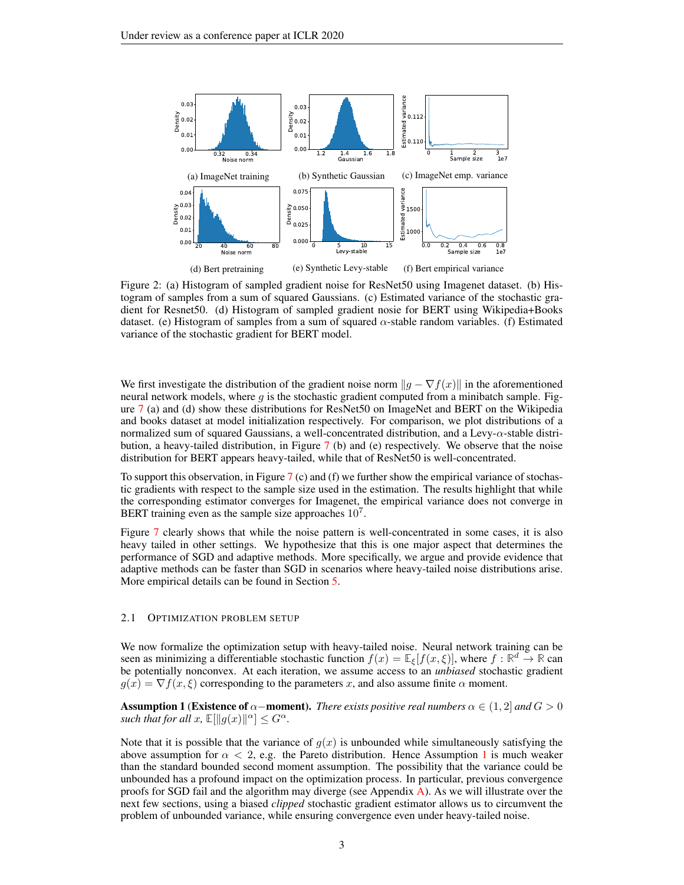

Figure 2: (a) Histogram of sampled gradient noise for ResNet50 using Imagenet dataset. (b) Histogram of samples from a sum of squared Gaussians. (c) Estimated variance of the stochastic gradient for Resnet50. (d) Histogram of sampled gradient nosie for BERT using Wikipedia+Books dataset. (e) Histogram of samples from a sum of squared  $\alpha$ -stable random variables. (f) Estimated variance of the stochastic gradient for BERT model.

We first investigate the distribution of the gradient noise norm  $||g - \nabla f(x)||$  in the aforementioned neural network models, where  $g$  is the stochastic gradient computed from a minibatch sample. Figure [7](#page-18-0) (a) and (d) show these distributions for ResNet50 on ImageNet and BERT on the Wikipedia and books dataset at model initialization respectively. For comparison, we plot distributions of a normalized sum of squared Gaussians, a well-concentrated distribution, and a Levy- $\alpha$ -stable distribution, a heavy-tailed distribution, in Figure [7](#page-18-0) (b) and (e) respectively. We observe that the noise distribution for BERT appears heavy-tailed, while that of ResNet50 is well-concentrated.

To support this observation, in Figure [7](#page-18-0) (c) and (f) we further show the empirical variance of stochastic gradients with respect to the sample size used in the estimation. The results highlight that while the corresponding estimator converges for Imagenet, the empirical variance does not converge in BERT training even as the sample size approaches  $10<sup>7</sup>$ .

Figure [7](#page-18-0) clearly shows that while the noise pattern is well-concentrated in some cases, it is also heavy tailed in other settings. We hypothesize that this is one major aspect that determines the performance of SGD and adaptive methods. More specifically, we argue and provide evidence that adaptive methods can be faster than SGD in scenarios where heavy-tailed noise distributions arise. More empirical details can be found in Section [5.](#page-6-0)

#### 2.1 OPTIMIZATION PROBLEM SETUP

We now formalize the optimization setup with heavy-tailed noise. Neural network training can be seen as minimizing a differentiable stochastic function  $f(x) = \mathbb{E}_{\xi}[f(x,\xi)]$ , where  $f : \mathbb{R}^d \to \mathbb{R}$  can be potentially nonconvex. At each iteration, we assume access to an *unbiased* stochastic gradient  $g(x) = \nabla f(x, \xi)$  corresponding to the parameters x, and also assume finite  $\alpha$  moment.

<span id="page-2-0"></span>**Assumption 1 (Existence of**  $\alpha$ **–moment).** *There exists positive real numbers*  $\alpha \in (1, 2]$  *and*  $G > 0$ *such that for all*  $x$ ,  $\mathbb{E}[\Vert g(x)\Vert^{\alpha}] \leq G^{\alpha}$ .

Note that it is possible that the variance of  $g(x)$  is unbounded while simultaneously satisfying the above assumption for  $\alpha < 2$ , e.g. the Pareto distribution. Hence Assumption [1](#page-2-0) is much weaker than the standard bounded second moment assumption. The possibility that the variance could be unbounded has a profound impact on the optimization process. In particular, previous convergence proofs for SGD fail and the algorithm may diverge (see Appendix [A\)](#page-10-0). As we will illustrate over the next few sections, using a biased *clipped* stochastic gradient estimator allows us to circumvent the problem of unbounded variance, while ensuring convergence even under heavy-tailed noise.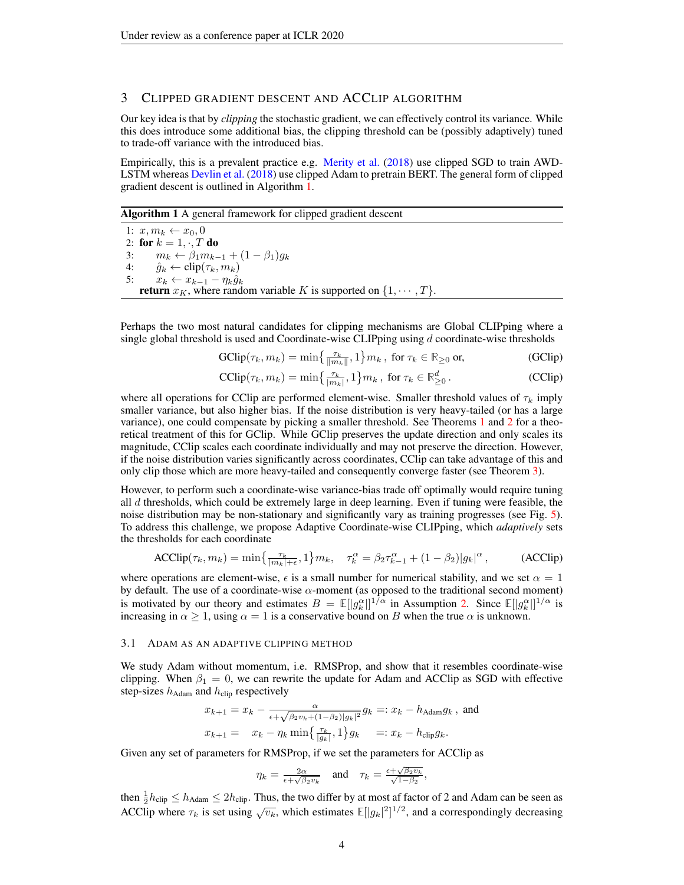### 3 CLIPPED GRADIENT DESCENT AND ACCLIP ALGORITHM

Our key idea is that by *clipping* the stochastic gradient, we can effectively control its variance. While this does introduce some additional bias, the clipping threshold can be (possibly adaptively) tuned to trade-off variance with the introduced bias.

Empirically, this is a prevalent practice e.g. [Merity et al.](#page-8-16) [\(2018\)](#page-8-16) use clipped SGD to train AWD-LSTM whereas [Devlin et al.](#page-8-5) [\(2018\)](#page-8-5) use clipped Adam to pretrain BERT. The general form of clipped gradient descent is outlined in Algorithm [1.](#page-3-0)

<span id="page-3-0"></span>Algorithm 1 A general framework for clipped gradient descent

1:  $x, m_k \leftarrow x_0, 0$ 2: for  $k = 1, \cdot, T$  do 3:  $m_k \leftarrow \beta_1 m_{k-1} + (1 - \beta_1) g_k$ <br>4:  $\hat{a}_k \leftarrow \text{clip}(\tau_k, m_k)$  $\hat{g}_k \leftarrow \text{clip}(\tau_k, m_k)$ 5:  $x_k \leftarrow x_{k-1} - \eta_k \hat{g}_k$ **return**  $x_K$ , where random variable K is supported on  $\{1, \dots, T\}$ .

Perhaps the two most natural candidates for clipping mechanisms are Global CLIPping where a single global threshold is used and Coordinate-wise CLIPping using  $d$  coordinate-wise thresholds

<span id="page-3-1"></span>
$$
\text{GClip}(\tau_k, m_k) = \min\left\{\frac{\tau_k}{\|m_k\|}, 1\right\} m_k, \text{ for } \tau_k \in \mathbb{R}_{\geq 0} \text{ or,}
$$
 (GClip)

<span id="page-3-2"></span>
$$
\text{CClip}(\tau_k, m_k) = \min\left\{\frac{\tau_k}{|m_k|}, 1\right\} m_k, \text{ for } \tau_k \in \mathbb{R}^d_{\geq 0}. \tag{CClip}
$$

where all operations for CClip are performed element-wise. Smaller threshold values of  $\tau_k$  imply smaller variance, but also higher bias. If the noise distribution is very heavy-tailed (or has a large variance), one could compensate by picking a smaller threshold. See Theorems [1](#page-4-0) and [2](#page-4-1) for a theoretical treatment of this for GClip. While GClip preserves the update direction and only scales its magnitude, CClip scales each coordinate individually and may not preserve the direction. However, if the noise distribution varies significantly across coordinates, CClip can take advantage of this and only clip those which are more heavy-tailed and consequently converge faster (see Theorem [3\)](#page-5-0).

However, to perform such a coordinate-wise variance-bias trade off optimally would require tuning all  $d$  thresholds, which could be extremely large in deep learning. Even if tuning were feasible, the noise distribution may be non-stationary and significantly vary as training progresses (see Fig. [5\)](#page-7-0). To address this challenge, we propose Adaptive Coordinate-wise CLIPping, which *adaptively* sets the thresholds for each coordinate

$$
\text{ACClip}(\tau_k, m_k) = \min\left\{\frac{\tau_k}{|m_k| + \epsilon}, 1\right\} m_k, \quad \tau_k^{\alpha} = \beta_2 \tau_{k-1}^{\alpha} + (1 - \beta_2) |g_k|^{\alpha}, \tag{ACClip}
$$

where operations are element-wise,  $\epsilon$  is a small number for numerical stability, and we set  $\alpha = 1$ by default. The use of a coordinate-wise  $\alpha$ -moment (as opposed to the traditional second moment) is motivated by our theory and estimates  $B = \mathbb{E}[|g_k^{\alpha}|]^{1/\alpha}$  in Assumption [2.](#page-5-1) Since  $\mathbb{E}[|g_k^{\alpha}|]^{1/\alpha}$  is increasing in  $\alpha > 1$ , using  $\alpha = 1$  is a conservative bound on B when the true  $\alpha$  is unknown.

#### 3.1 ADAM AS AN ADAPTIVE CLIPPING METHOD

We study Adam without momentum, i.e. RMSProp, and show that it resembles coordinate-wise clipping. When  $\beta_1 = 0$ , we can rewrite the update for Adam and ACClip as SGD with effective step-sizes  $h_{\text{Adam}}$  and  $h_{\text{clip}}$  respectively

$$
x_{k+1} = x_k - \frac{\alpha}{\epsilon + \sqrt{\beta_2 v_k + (1 - \beta_2)|g_k|^2}} g_k =: x_k - h_{\text{Adam}} g_k \text{, and}
$$
  

$$
x_{k+1} = x_k - \eta_k \min\left\{\frac{\tau_k}{|g_k|}, 1\right\} g_k =: x_k - h_{\text{clip}} g_k.
$$

Given any set of parameters for RMSProp, if we set the parameters for ACClip as

$$
\eta_k = \tfrac{2\alpha}{\epsilon + \sqrt{\beta_2 v_k}} \quad \text{and} \quad \tau_k = \tfrac{\epsilon + \sqrt{\beta_2 v_k}}{\sqrt{1 - \beta_2}},
$$

then  $\frac{1}{2}h_{\text{clip}} \leq h_{\text{Adam}} \leq 2h_{\text{clip}}$ . Thus, the two differ by at most af factor of 2 and Adam can be seen as ACClip where  $\tau_k$  is set using  $\sqrt{v_k}$ , which estimates  $\mathbb{E}[|g_k|^2]^{1/2}$ , and a correspondingly decreasing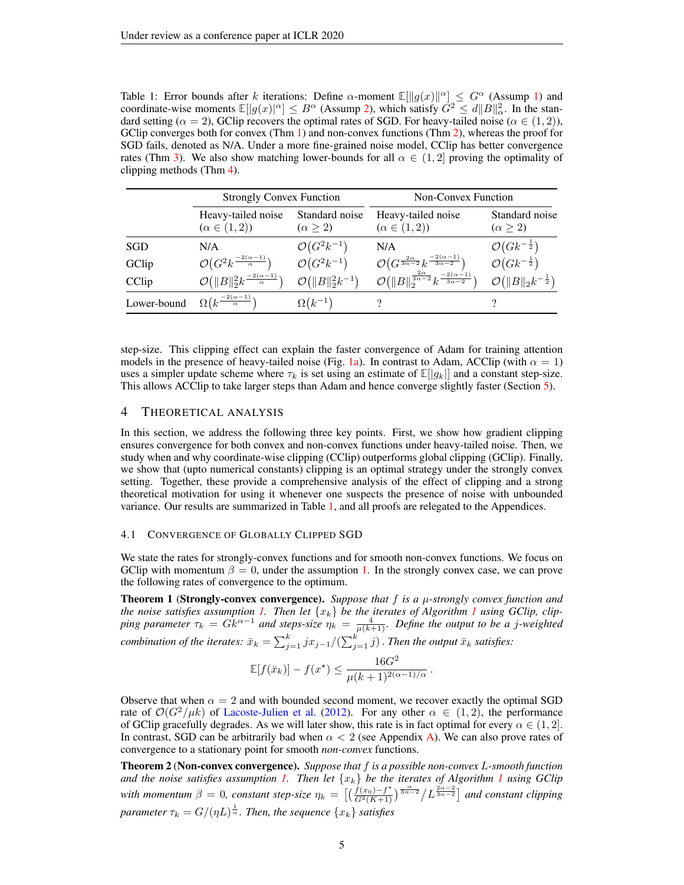<span id="page-4-2"></span>Table 1: Error bounds after k iterations: Define  $\alpha$ -moment  $\mathbb{E}[\Vert g(x)\Vert^{\alpha}] \leq G^{\alpha}$  (Assump [1\)](#page-2-0) and coordinate-wise moments  $\mathbb{E}[|g(x)|^{\alpha}] \leq B^{\alpha}$  (Assump [2\)](#page-5-1), which satisfy  $\hat{G}^2 \leq d||B||_{\alpha}^2$ . In the standard setting ( $\alpha = 2$ ), GClip recovers the optimal rates of SGD. For heavy-tailed noise ( $\alpha \in (1, 2)$ ), GClip converges both for convex (Thm [1\)](#page-4-0) and non-convex functions (Thm [2\)](#page-4-1), whereas the proof for SGD fails, denoted as N/A. Under a more fine-grained noise model, CClip has better convergence rates (Thm [3\)](#page-5-0). We also show matching lower-bounds for all  $\alpha \in (1, 2]$  proving the optimality of clipping methods (Thm [4\)](#page-5-2).

|             | <b>Strongly Convex Function</b>                                   |                                     | <b>Non-Convex Function</b>                                                                |                                         |  |
|-------------|-------------------------------------------------------------------|-------------------------------------|-------------------------------------------------------------------------------------------|-----------------------------------------|--|
|             | Heavy-tailed noise<br>$(\alpha \in (1,2))$                        | Standard noise<br>$(\alpha \geq 2)$ | Heavy-tailed noise<br>$(\alpha \in (1,2))$                                                | Standard noise<br>$(\alpha \geq 2)$     |  |
| SGD         | N/A                                                               | $\mathcal{O}(G^2k^{-1})$            | N/A                                                                                       | $\mathcal{O}(Gk^{-\frac{1}{2}})$        |  |
| GClip       | $\mathcal{O}\big(G^2k^{\frac{-2(\alpha-1)}{\alpha}}\big)$         | $\mathcal{O}(G^2k^{-1})$            | $\mathcal{O}\left(G^{\frac{2\alpha}{3\alpha-2}}k^{\frac{-2(\alpha-1)}{3\alpha-2}}\right)$ | $\mathcal{O}(Gk^{-\frac{1}{2}})$        |  |
| CClip       | $\mathcal{O}(\Vert B \Vert _2^2 k^{\frac{-2(\alpha-1)}{\alpha}})$ | $\mathcal{O}( B  _2^2k^{-1})$       | $\mathcal{O}(\ B\ _2^{\frac{2\alpha}{3\alpha-2}}k^{-\frac{2(\alpha-1)}{3\alpha-2}})$      | $\mathcal{O}(\ B\ _2 k^{-\frac{1}{2}})$ |  |
| Lower-bound | $\Omega(k^{\frac{-2(\alpha-1)}{\alpha}})$                         | $\Omega(k^{-1})$                    |                                                                                           |                                         |  |

step-size. This clipping effect can explain the faster convergence of Adam for training attention models in the presence of heavy-tailed noise (Fig. [1a\)](#page-1-0). In contrast to Adam, ACClip (with  $\alpha = 1$ ) uses a simpler update scheme where  $\tau_k$  is set using an estimate of  $\mathbb{E}[|g_k|]$  and a constant step-size. This allows ACClip to take larger steps than Adam and hence converge slightly faster (Section [5\)](#page-6-0).

# 4 THEORETICAL ANALYSIS

In this section, we address the following three key points. First, we show how gradient clipping ensures convergence for both convex and non-convex functions under heavy-tailed noise. Then, we study when and why coordinate-wise clipping (CClip) outperforms global clipping (GClip). Finally, we show that (upto numerical constants) clipping is an optimal strategy under the strongly convex setting. Together, these provide a comprehensive analysis of the effect of clipping and a strong theoretical motivation for using it whenever one suspects the presence of noise with unbounded variance. Our results are summarized in Table [1,](#page-4-2) and all proofs are relegated to the Appendices.

#### 4.1 CONVERGENCE OF GLOBALLY CLIPPED SGD

We state the rates for strongly-convex functions and for smooth non-convex functions. We focus on GClip with momentum  $\beta = 0$ , under the assumption [1.](#page-2-0) In the strongly convex case, we can prove the following rates of convergence to the optimum.

<span id="page-4-0"></span>**Theorem 1 (Strongly-convex convergence).** Suppose that  $f$  is a  $\mu$ -strongly convex function and *the noise satisfies assumption [1.](#page-2-0) Then let*  $\{x_k\}$  *be the iterates of Algorithm [1](#page-3-0) using GClip, clip*ping parameter  $\tau_k = Gk^{\alpha-1}$  and steps-size  $\eta_k = \frac{4}{\mu(k+1)}$ . Define the output to be a j-weighted *combination of the iterates:*  $\bar{x}_k = \sum_{j=1}^k jx_{j-1}/(\sum_{j=1}^k j)$  . Then the output  $\bar{x}_k$  satisfies:

$$
\mathbb{E}[f(\bar{x}_k)] - f(x^*) \le \frac{16G^2}{\mu(k+1)^{2(\alpha-1)/\alpha}}.
$$

Observe that when  $\alpha = 2$  and with bounded second moment, we recover exactly the optimal SGD rate of  $\mathcal{O}(G^2/\mu k)$  of [Lacoste-Julien et al.](#page-8-17) [\(2012\)](#page-8-17). For any other  $\alpha \in (1,2)$ , the performance of GClip gracefully degrades. As we will later show, this rate is in fact optimal for every  $\alpha \in (1, 2]$ . In contrast, SGD can be arbitrarily bad when  $\alpha < 2$  (see Appendix [A\)](#page-10-0). We can also prove rates of convergence to a stationary point for smooth *non-convex* functions.

<span id="page-4-1"></span>Theorem 2 (Non-convex convergence). *Suppose that* f *is a possible non-convex* L*-smooth function and the noise satisfies assumption [1.](#page-2-0) Then let*  $\{x_k\}$  *be the iterates of Algorithm [1](#page-3-0) using GClip with momentum*  $\beta = 0$ , constant step-size  $\eta_k = \left[ \left( \frac{f(x_0) - f^*}{G^2(K+1)} \right)^{\frac{\alpha}{3\alpha - 2}} / L^{\frac{2\alpha - 2}{3\alpha - 2}} \right]$  and constant clipping  $\alpha$  *parameter*  $\tau_k = G/(\eta L)^{\frac{1}{\alpha}}$ . Then, the sequence  $\{x_k\}$  satisfies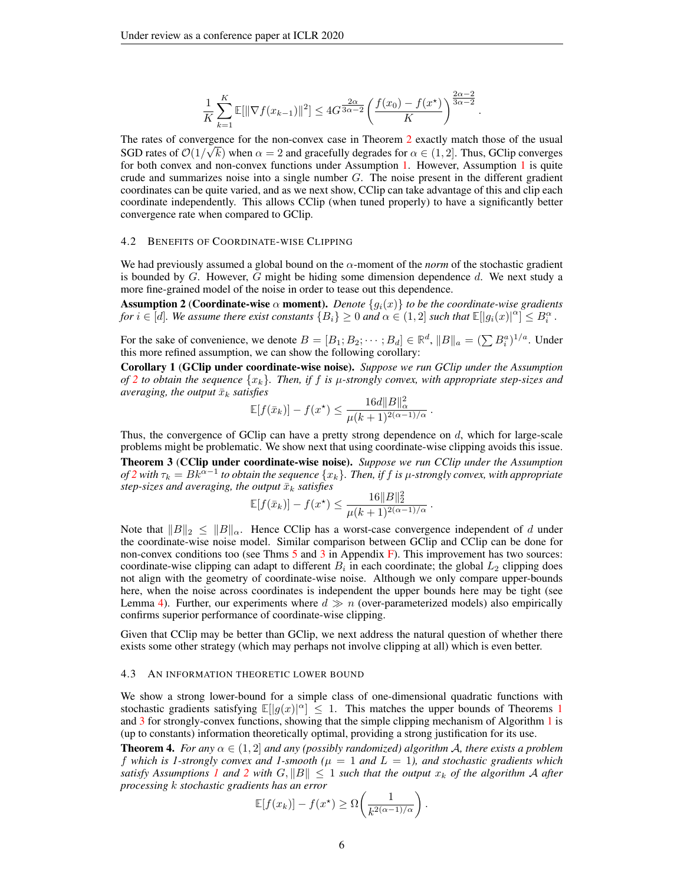$$
\frac{1}{K}\sum_{k=1}^{K}\mathbb{E}[\|\nabla f(x_{k-1})\|^2] \le 4G^{\frac{2\alpha}{3\alpha-2}}\left(\frac{f(x_0)-f(x^\star)}{K}\right)^{\frac{2\alpha-2}{3\alpha-2}}
$$

.

The rates of convergence for the non-convex case in Theorem [2](#page-4-1) exactly match those of the usual SGD rates of  $\mathcal{O}(1/\sqrt{k})$  when  $\alpha = 2$  and gracefully degrades for  $\alpha \in (1, 2]$ . Thus, GClip converges for both convex and non-convex functions under Assumption [1.](#page-2-0) However, Assumption [1](#page-2-0) is quite crude and summarizes noise into a single number  $G$ . The noise present in the different gradient coordinates can be quite varied, and as we next show, CClip can take advantage of this and clip each coordinate independently. This allows CClip (when tuned properly) to have a significantly better convergence rate when compared to GClip.

#### 4.2 BENEFITS OF COORDINATE-WISE CLIPPING

We had previously assumed a global bound on the  $\alpha$ -moment of the *norm* of the stochastic gradient is bounded by  $G$ . However,  $G$  might be hiding some dimension dependence  $d$ . We next study a more fine-grained model of the noise in order to tease out this dependence.

<span id="page-5-1"></span>**Assumption 2 (Coordinate-wise**  $\alpha$  **moment).** *Denote*  $\{g_i(x)\}\$ to be the coordinate-wise gradients *for*  $i \in [d]$ . We assume there exist constants  $\{B_i\} \geq 0$  and  $\alpha \in (1,2]$  such that  $\mathbb{E}[|g_i(x)|^{\alpha}] \leq B_i^{\alpha}$ .

For the sake of convenience, we denote  $B = [B_1; B_2; \dots; B_d] \in \mathbb{R}^d$ ,  $||B||_a = (\sum B_i^a)^{1/a}$ . Under this more refined assumption, we can show the following corollary:

<span id="page-5-3"></span>Corollary 1 (GClip under coordinate-wise noise). *Suppose we run GClip under the Assumption of* [2](#page-5-1) *to obtain the sequence*  $\{x_k\}$ *. Then, if* f *is*  $\mu$ -strongly convex, with appropriate step-sizes and *averaging, the output*  $\bar{x}_k$  *satisfies* 

$$
\mathbb{E}[f(\bar{x}_k)] - f(x^*) \le \frac{16d||B||_{\alpha}^2}{\mu(k+1)^{2(\alpha-1)/\alpha}}.
$$

Thus, the convergence of GClip can have a pretty strong dependence on  $d$ , which for large-scale problems might be problematic. We show next that using coordinate-wise clipping avoids this issue.

<span id="page-5-0"></span>Theorem 3 (CClip under coordinate-wise noise). *Suppose we run CClip under the Assumption of*  $2$  with  $\tau_k = Bk^{\tilde{\alpha}-1}$  to obtain the sequence  $\{x_k\}$ . Then, if  $f$  is  $\mu$ -strongly convex, with appropriate *step-sizes and averaging, the output*  $\bar{x}_k$  *satisfies* <sup>2</sup><sup>2</sup>

$$
\mathbb{E}[f(\bar{x}_k)] - f(x^*) \le \frac{16||B||_2^2}{\mu(k+1)^{2(\alpha-1)/\alpha}}.
$$

Note that  $||B||_2 \le ||B||_{\alpha}$ . Hence CClip has a worst-case convergence independent of d under the coordinate-wise noise model. Similar comparison between GClip and CClip can be done for non-convex conditions too (see Thms  $\frac{5}{3}$  $\frac{5}{3}$  $\frac{5}{3}$  $\frac{5}{3}$  $\frac{5}{3}$  and  $\frac{3}{3}$  in Appendix [F\)](#page-12-1). This improvement has two sources: coordinate-wise clipping can adapt to different  $B_i$  in each coordinate; the global  $L_2$  clipping does not align with the geometry of coordinate-wise noise. Although we only compare upper-bounds here, when the noise across coordinates is independent the upper bounds here may be tight (see Lemma [4\)](#page-13-0). Further, our experiments where  $d \gg n$  (over-parameterized models) also empirically confirms superior performance of coordinate-wise clipping.

Given that CClip may be better than GClip, we next address the natural question of whether there exists some other strategy (which may perhaps not involve clipping at all) which is even better.

#### 4.3 AN INFORMATION THEORETIC LOWER BOUND

We show a strong lower-bound for a simple class of one-dimensional quadratic functions with stochastic gradients satisfying  $\mathbb{E}[|g(x)|^{\alpha}] \leq 1$  $\mathbb{E}[|g(x)|^{\alpha}] \leq 1$ . This matches the upper bounds of Theorems 1 and [3](#page-5-0) for strongly-convex functions, showing that the simple clipping mechanism of Algorithm [1](#page-3-0) is (up to constants) information theoretically optimal, providing a strong justification for its use.

<span id="page-5-2"></span>**Theorem 4.** *For any*  $\alpha \in (1, 2]$  *and any (possibly randomized) algorithm A, there exists a problem* f which is 1-strongly convex and 1-smooth ( $\mu = 1$  and  $L = 1$ ), and stochastic gradients which *satisfy Assumptions [1](#page-2-0) and [2](#page-5-1) with*  $G$ ,  $||B|| \leq 1$  *such that the output*  $x_k$  *of the algorithm* A *after processing* k *stochastic gradients has an error*

$$
\mathbb{E}[f(x_k)] - f(x^\star) \ge \Omega\bigg(\frac{1}{k^{2(\alpha-1)/\alpha}}\bigg).
$$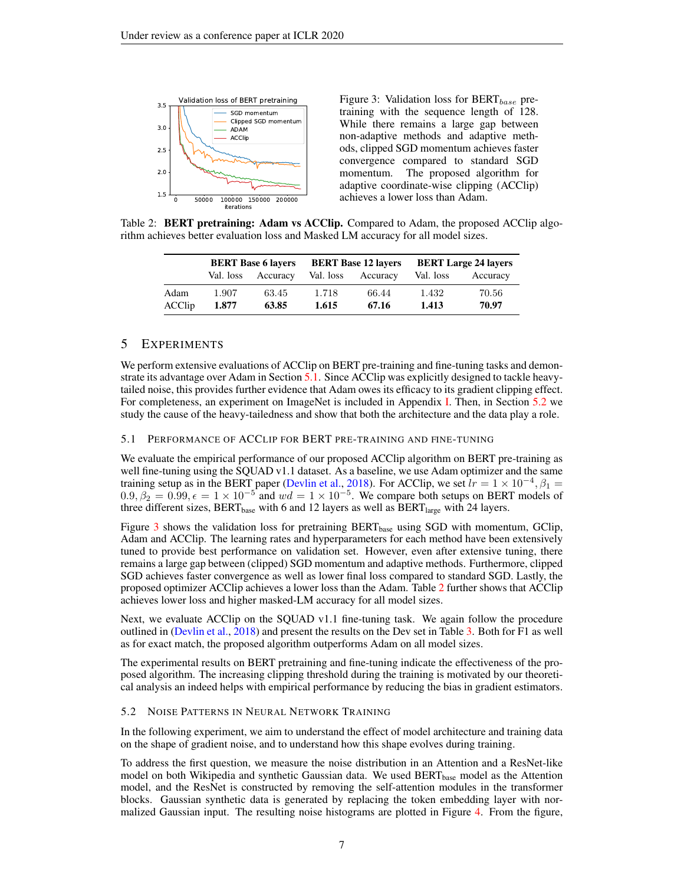<span id="page-6-3"></span>

Figure 3: Validation loss for  $BERT_{base}$  pretraining with the sequence length of 128. While there remains a large gap between non-adaptive methods and adaptive methods, clipped SGD momentum achieves faster convergence compared to standard SGD momentum. The proposed algorithm for adaptive coordinate-wise clipping (ACClip) achieves a lower loss than Adam.

<span id="page-6-4"></span>Table 2: **BERT pretraining: Adam vs ACClip.** Compared to Adam, the proposed ACClip algorithm achieves better evaluation loss and Masked LM accuracy for all model sizes.

|        | <b>BERT Base 6 layers</b> |          | <b>BERT Base 12 layers</b> |          | <b>BERT Large 24 layers</b> |          |
|--------|---------------------------|----------|----------------------------|----------|-----------------------------|----------|
|        | Val. loss                 | Accuracy | Val. loss                  | Accuracy | Val. loss                   | Accuracy |
| Adam   | 1.907                     | 63.45    | 1.718                      | 66.44    | 1.432                       | 70.56    |
| ACClip | 1.877                     | 63.85    | 1.615                      | 67.16    | 1.413                       | 70.97    |

## <span id="page-6-0"></span>5 EXPERIMENTS

We perform extensive evaluations of ACClip on BERT pre-training and fine-tuning tasks and demonstrate its advantage over Adam in Section [5.1.](#page-6-1) Since ACClip was explicitly designed to tackle heavytailed noise, this provides further evidence that Adam owes its efficacy to its gradient clipping effect. For completeness, an experiment on ImageNet is included in Appendix [I.](#page-18-1) Then, in Section [5.2](#page-6-2) we study the cause of the heavy-tailedness and show that both the architecture and the data play a role.

#### <span id="page-6-1"></span>5.1 PERFORMANCE OF ACCLIP FOR BERT PRE-TRAINING AND FINE-TUNING

We evaluate the empirical performance of our proposed ACClip algorithm on BERT pre-training as well fine-tuning using the SQUAD v1.1 dataset. As a baseline, we use Adam optimizer and the same training setup as in the BERT paper [\(Devlin et al.,](#page-8-5) [2018\)](#page-8-5). For ACClip, we set  $lr = 1 \times 10^{-4}$ ,  $\beta_1 =$  $0.9, \beta_2 = 0.99, \epsilon = 1 \times 10^{-5}$  and  $wd = 1 \times 10^{-5}$ . We compare both setups on BERT models of three different sizes,  $BERT_{base}$  with 6 and 12 layers as well as  $BERT_{large}$  with 24 layers.

Figure [3](#page-6-3) shows the validation loss for pretraining  $BERT_{base}$  using SGD with momentum, GClip, Adam and ACClip. The learning rates and hyperparameters for each method have been extensively tuned to provide best performance on validation set. However, even after extensive tuning, there remains a large gap between (clipped) SGD momentum and adaptive methods. Furthermore, clipped SGD achieves faster convergence as well as lower final loss compared to standard SGD. Lastly, the proposed optimizer ACClip achieves a lower loss than the Adam. Table [2](#page-6-4) further shows that ACClip achieves lower loss and higher masked-LM accuracy for all model sizes.

Next, we evaluate ACClip on the SQUAD v1.1 fine-tuning task. We again follow the procedure outlined in [\(Devlin et al.,](#page-8-5) [2018\)](#page-8-5) and present the results on the Dev set in Table [3.](#page-7-1) Both for F1 as well as for exact match, the proposed algorithm outperforms Adam on all model sizes.

The experimental results on BERT pretraining and fine-tuning indicate the effectiveness of the proposed algorithm. The increasing clipping threshold during the training is motivated by our theoretical analysis an indeed helps with empirical performance by reducing the bias in gradient estimators.

#### <span id="page-6-2"></span>5.2 NOISE PATTERNS IN NEURAL NETWORK TRAINING

In the following experiment, we aim to understand the effect of model architecture and training data on the shape of gradient noise, and to understand how this shape evolves during training.

To address the first question, we measure the noise distribution in an Attention and a ResNet-like model on both Wikipedia and synthetic Gaussian data. We used BERT<sub>base</sub> model as the Attention model, and the ResNet is constructed by removing the self-attention modules in the transformer blocks. Gaussian synthetic data is generated by replacing the token embedding layer with normalized Gaussian input. The resulting noise histograms are plotted in Figure [4.](#page-7-2) From the figure,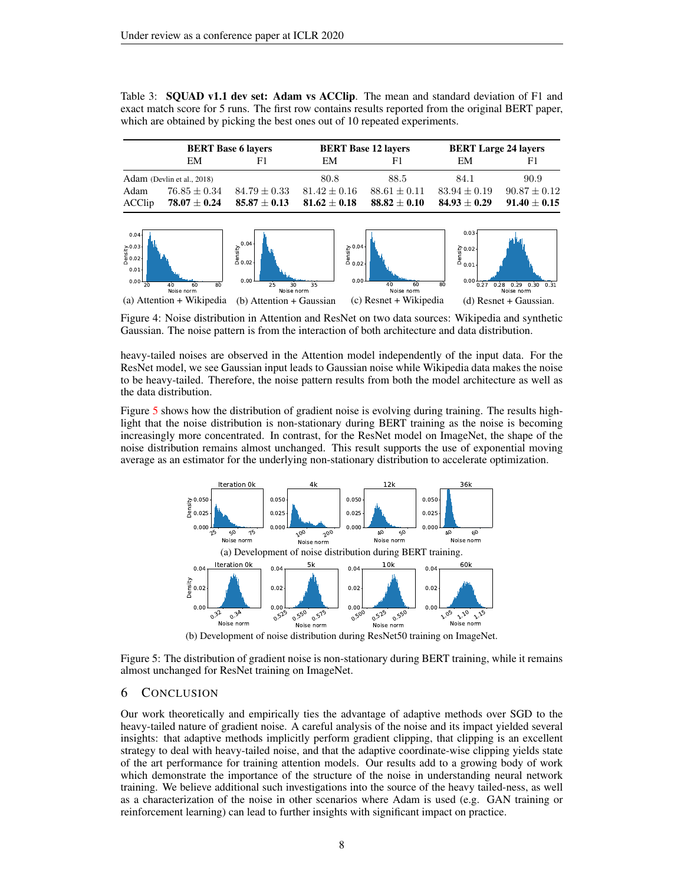<span id="page-7-1"></span>Table 3: **SQUAD v1.1 dev set: Adam vs ACClip.** The mean and standard deviation of F1 and exact match score for 5 runs. The first row contains results reported from the original BERT paper, which are obtained by picking the best ones out of 10 repeated experiments.

|        | <b>BERT Base 6 layers</b>  |                  | <b>BERT Base 12 layers</b>         |                  | <b>BERT Large 24 layers</b> |                  |
|--------|----------------------------|------------------|------------------------------------|------------------|-----------------------------|------------------|
|        | EM                         | F1.              | EM                                 | F1               | EM                          | F1.              |
|        | Adam (Devlin et al., 2018) |                  | 80.8                               | 88.5             | 84.1                        | 90.9             |
| Adam   | $76.85 \pm 0.34$           | $84.79 \pm 0.33$ | $81.42 \pm 0.16$                   | $88.61 + 0.11$   | $83.94 \pm 0.19$            | $90.87 \pm 0.12$ |
| ACClip | $78.07 \pm 0.24$           | $85.87\pm0.13$   | $\textbf{81.62} \pm \textbf{0.18}$ | $88.82 \pm 0.10$ | $84.93 + 0.29$              | $91.40 \pm 0.15$ |

<span id="page-7-2"></span>

Figure 4: Noise distribution in Attention and ResNet on two data sources: Wikipedia and synthetic Gaussian. The noise pattern is from the interaction of both architecture and data distribution.

heavy-tailed noises are observed in the Attention model independently of the input data. For the ResNet model, we see Gaussian input leads to Gaussian noise while Wikipedia data makes the noise to be heavy-tailed. Therefore, the noise pattern results from both the model architecture as well as the data distribution.

Figure [5](#page-7-0) shows how the distribution of gradient noise is evolving during training. The results highlight that the noise distribution is non-stationary during BERT training as the noise is becoming increasingly more concentrated. In contrast, for the ResNet model on ImageNet, the shape of the noise distribution remains almost unchanged. This result supports the use of exponential moving average as an estimator for the underlying non-stationary distribution to accelerate optimization.

<span id="page-7-0"></span>

(b) Development of noise distribution during ResNet50 training on ImageNet.

Figure 5: The distribution of gradient noise is non-stationary during BERT training, while it remains almost unchanged for ResNet training on ImageNet.

### 6 CONCLUSION

Our work theoretically and empirically ties the advantage of adaptive methods over SGD to the heavy-tailed nature of gradient noise. A careful analysis of the noise and its impact yielded several insights: that adaptive methods implicitly perform gradient clipping, that clipping is an excellent strategy to deal with heavy-tailed noise, and that the adaptive coordinate-wise clipping yields state of the art performance for training attention models. Our results add to a growing body of work which demonstrate the importance of the structure of the noise in understanding neural network training. We believe additional such investigations into the source of the heavy tailed-ness, as well as a characterization of the noise in other scenarios where Adam is used (e.g. GAN training or reinforcement learning) can lead to further insights with significant impact on practice.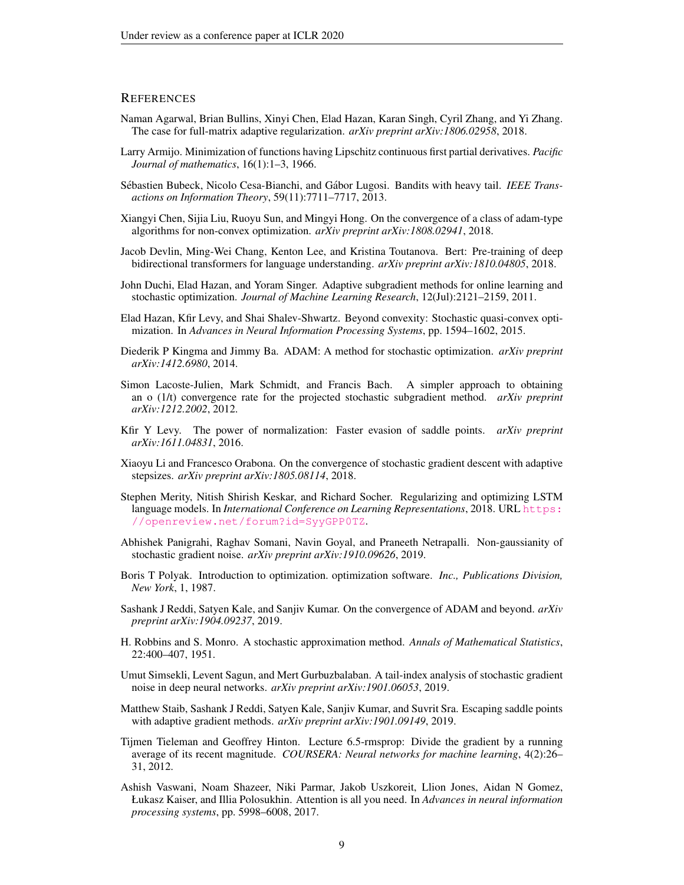### **REFERENCES**

- <span id="page-8-12"></span>Naman Agarwal, Brian Bullins, Xinyi Chen, Elad Hazan, Karan Singh, Cyril Zhang, and Yi Zhang. The case for full-matrix adaptive regularization. *arXiv preprint arXiv:1806.02958*, 2018.
- <span id="page-8-6"></span>Larry Armijo. Minimization of functions having Lipschitz continuous first partial derivatives. *Pacific Journal of mathematics*, 16(1):1–3, 1966.
- <span id="page-8-18"></span>Sébastien Bubeck, Nicolo Cesa-Bianchi, and Gábor Lugosi. Bandits with heavy tail. *IEEE Transactions on Information Theory*, 59(11):7711–7717, 2013.
- <span id="page-8-11"></span>Xiangyi Chen, Sijia Liu, Ruoyu Sun, and Mingyi Hong. On the convergence of a class of adam-type algorithms for non-convex optimization. *arXiv preprint arXiv:1808.02941*, 2018.
- <span id="page-8-5"></span>Jacob Devlin, Ming-Wei Chang, Kenton Lee, and Kristina Toutanova. Bert: Pre-training of deep bidirectional transformers for language understanding. *arXiv preprint arXiv:1810.04805*, 2018.
- <span id="page-8-1"></span>John Duchi, Elad Hazan, and Yoram Singer. Adaptive subgradient methods for online learning and stochastic optimization. *Journal of Machine Learning Research*, 12(Jul):2121–2159, 2011.
- <span id="page-8-14"></span>Elad Hazan, Kfir Levy, and Shai Shalev-Shwartz. Beyond convexity: Stochastic quasi-convex optimization. In *Advances in Neural Information Processing Systems*, pp. 1594–1602, 2015.
- <span id="page-8-2"></span>Diederik P Kingma and Jimmy Ba. ADAM: A method for stochastic optimization. *arXiv preprint arXiv:1412.6980*, 2014.
- <span id="page-8-17"></span>Simon Lacoste-Julien, Mark Schmidt, and Francis Bach. A simpler approach to obtaining an o (1/t) convergence rate for the projected stochastic subgradient method. *arXiv preprint arXiv:1212.2002*, 2012.
- <span id="page-8-13"></span>Kfir Y Levy. The power of normalization: Faster evasion of saddle points. *arXiv preprint arXiv:1611.04831*, 2016.
- <span id="page-8-9"></span>Xiaoyu Li and Francesco Orabona. On the convergence of stochastic gradient descent with adaptive stepsizes. *arXiv preprint arXiv:1805.08114*, 2018.
- <span id="page-8-16"></span>Stephen Merity, Nitish Shirish Keskar, and Richard Socher. Regularizing and optimizing LSTM language models. In *International Conference on Learning Representations*, 2018. URL [https:](https://openreview.net/forum?id=SyyGPP0TZ) [//openreview.net/forum?id=SyyGPP0TZ](https://openreview.net/forum?id=SyyGPP0TZ).
- <span id="page-8-19"></span>Abhishek Panigrahi, Raghav Somani, Navin Goyal, and Praneeth Netrapalli. Non-gaussianity of stochastic gradient noise. *arXiv preprint arXiv:1910.09626*, 2019.
- <span id="page-8-7"></span>Boris T Polyak. Introduction to optimization. optimization software. *Inc., Publications Division, New York*, 1, 1987.
- <span id="page-8-3"></span>Sashank J Reddi, Satyen Kale, and Sanjiv Kumar. On the convergence of ADAM and beyond. *arXiv preprint arXiv:1904.09237*, 2019.
- <span id="page-8-0"></span>H. Robbins and S. Monro. A stochastic approximation method. *Annals of Mathematical Statistics*, 22:400–407, 1951.
- <span id="page-8-15"></span>Umut Simsekli, Levent Sagun, and Mert Gurbuzbalaban. A tail-index analysis of stochastic gradient noise in deep neural networks. *arXiv preprint arXiv:1901.06053*, 2019.
- <span id="page-8-10"></span>Matthew Staib, Sashank J Reddi, Satyen Kale, Sanjiv Kumar, and Suvrit Sra. Escaping saddle points with adaptive gradient methods. *arXiv preprint arXiv:1901.09149*, 2019.
- <span id="page-8-8"></span>Tijmen Tieleman and Geoffrey Hinton. Lecture 6.5-rmsprop: Divide the gradient by a running average of its recent magnitude. *COURSERA: Neural networks for machine learning*, 4(2):26– 31, 2012.
- <span id="page-8-4"></span>Ashish Vaswani, Noam Shazeer, Niki Parmar, Jakob Uszkoreit, Llion Jones, Aidan N Gomez, Łukasz Kaiser, and Illia Polosukhin. Attention is all you need. In *Advances in neural information processing systems*, pp. 5998–6008, 2017.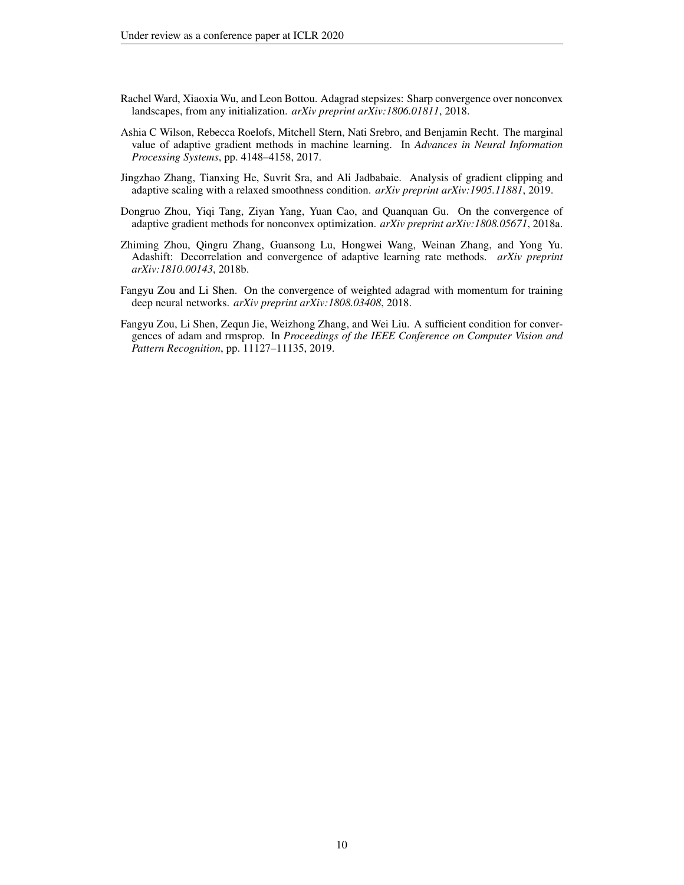- <span id="page-9-1"></span>Rachel Ward, Xiaoxia Wu, and Leon Bottou. Adagrad stepsizes: Sharp convergence over nonconvex landscapes, from any initialization. *arXiv preprint arXiv:1806.01811*, 2018.
- <span id="page-9-0"></span>Ashia C Wilson, Rebecca Roelofs, Mitchell Stern, Nati Srebro, and Benjamin Recht. The marginal value of adaptive gradient methods in machine learning. In *Advances in Neural Information Processing Systems*, pp. 4148–4158, 2017.
- <span id="page-9-6"></span>Jingzhao Zhang, Tianxing He, Suvrit Sra, and Ali Jadbabaie. Analysis of gradient clipping and adaptive scaling with a relaxed smoothness condition. *arXiv preprint arXiv:1905.11881*, 2019.
- <span id="page-9-2"></span>Dongruo Zhou, Yiqi Tang, Ziyan Yang, Yuan Cao, and Quanquan Gu. On the convergence of adaptive gradient methods for nonconvex optimization. *arXiv preprint arXiv:1808.05671*, 2018a.
- <span id="page-9-4"></span>Zhiming Zhou, Qingru Zhang, Guansong Lu, Hongwei Wang, Weinan Zhang, and Yong Yu. Adashift: Decorrelation and convergence of adaptive learning rate methods. *arXiv preprint arXiv:1810.00143*, 2018b.
- <span id="page-9-3"></span>Fangyu Zou and Li Shen. On the convergence of weighted adagrad with momentum for training deep neural networks. *arXiv preprint arXiv:1808.03408*, 2018.
- <span id="page-9-5"></span>Fangyu Zou, Li Shen, Zequn Jie, Weizhong Zhang, and Wei Liu. A sufficient condition for convergences of adam and rmsprop. In *Proceedings of the IEEE Conference on Computer Vision and Pattern Recognition*, pp. 11127–11135, 2019.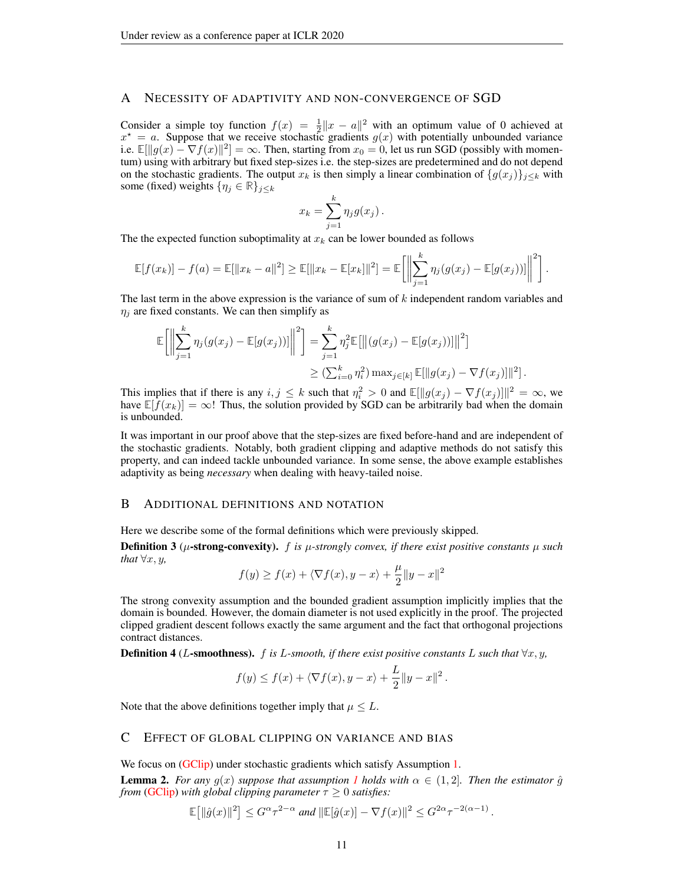# <span id="page-10-0"></span>A NECESSITY OF ADAPTIVITY AND NON-CONVERGENCE OF SGD

Consider a simple toy function  $f(x) = \frac{1}{2} ||x - a||^2$  with an optimum value of 0 achieved at  $x^* = a$ . Suppose that we receive stochastic gradients  $g(x)$  with potentially unbounded variance i.e.  $\mathbb{E}[\|g(x) - \nabla f(x)\|^2] = \infty$ . Then, starting from  $x_0 = 0$ , let us run SGD (possibly with momentum) using with arbitrary but fixed step-sizes i.e. the step-sizes are predetermined and do not depend on the stochastic gradients. The output  $x_k$  is then simply a linear combination of  $\{g(x_j)\}_{j\leq k}$  with some (fixed) weights  $\{\eta_j \in \mathbb{R}\}_{j \leq k}$ 

$$
x_k = \sum_{j=1}^k \eta_j g(x_j) .
$$

The the expected function suboptimality at  $x_k$  can be lower bounded as follows

$$
\mathbb{E}[f(x_k)] - f(a) = \mathbb{E}[\|x_k - a\|^2] \ge \mathbb{E}[\|x_k - \mathbb{E}[x_k]\|^2] = \mathbb{E}\left[\left\|\sum_{j=1}^k \eta_j(g(x_j) - \mathbb{E}[g(x_j))] \right\|^2\right].
$$

The last term in the above expression is the variance of sum of k independent random variables and  $\eta_i$  are fixed constants. We can then simplify as

$$
\mathbb{E}\Big[\Big\|\sum_{j=1}^k \eta_j(g(x_j) - \mathbb{E}[g(x_j))] \Big\|^2\Big] = \sum_{j=1}^k \eta_j^2 \mathbb{E}\big[\big\| (g(x_j) - \mathbb{E}[g(x_j))] \big\|^2\big]
$$
  

$$
\geq (\sum_{i=0}^k \eta_i^2) \max_{j \in [k]} \mathbb{E}[\|g(x_j) - \nabla f(x_j)\|^2].
$$

This implies that if there is any  $i, j \leq k$  such that  $\eta_i^2 > 0$  and  $\mathbb{E}[\Vert g(x_j) - \nabla f(x_j)\Vert]^2 = \infty$ , we have  $\mathbb{E}[f(x_k)] = \infty!$ ! Thus, the solution provided by SGD can be arbitrarily bad when the domain is unbounded.

It was important in our proof above that the step-sizes are fixed before-hand and are independent of the stochastic gradients. Notably, both gradient clipping and adaptive methods do not satisfy this property, and can indeed tackle unbounded variance. In some sense, the above example establishes adaptivity as being *necessary* when dealing with heavy-tailed noise.

### B ADDITIONAL DEFINITIONS AND NOTATION

Here we describe some of the formal definitions which were previously skipped.

**Definition 3** ( $\mu$ -strong-convexity). *f is*  $\mu$ -strongly convex, if there exist positive constants  $\mu$  such *that*  $\forall x, y$ *,* 

$$
f(y) \ge f(x) + \langle \nabla f(x), y - x \rangle + \frac{\mu}{2} ||y - x||^2
$$

The strong convexity assumption and the bounded gradient assumption implicitly implies that the domain is bounded. However, the domain diameter is not used explicitly in the proof. The projected clipped gradient descent follows exactly the same argument and the fact that orthogonal projections contract distances.

<span id="page-10-2"></span>**Definition 4** (L-smoothness). f is L-smooth, if there exist positive constants L such that  $\forall x, y$ ,

$$
f(y) \le f(x) + \langle \nabla f(x), y - x \rangle + \frac{L}{2} \|y - x\|^2.
$$

Note that the above definitions together imply that  $\mu \leq L$ .

### C EFFECT OF GLOBAL CLIPPING ON VARIANCE AND BIAS

We focus on [\(GClip\)](#page-3-1) under stochastic gradients which satisfy Assumption [1.](#page-2-0)

<span id="page-10-1"></span>**Lemma 2.** *For any*  $g(x)$  *suppose that assumption [1](#page-2-0) holds with*  $\alpha \in (1, 2]$ *. Then the estimator*  $\hat{g}$ *from* [\(GClip\)](#page-3-1) with global clipping parameter  $\tau \geq 0$  satisfies:

$$
\mathbb{E}\big[\|\hat{g}(x)\|^2\big] \leq G^{\alpha}\tau^{2-\alpha} \text{ and } \|\mathbb{E}[\hat{g}(x)] - \nabla f(x)\|^2 \leq G^{2\alpha}\tau^{-2(\alpha-1)}.
$$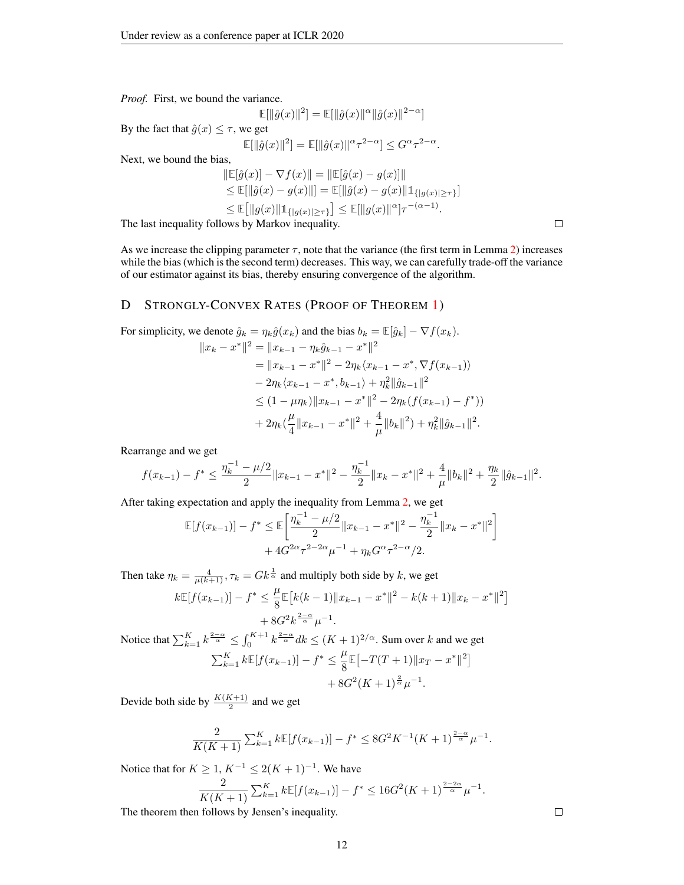*Proof.* First, we bound the variance.

$$
\mathbb{E}[\|\hat{g}(x)\|^2] = \mathbb{E}[\|\hat{g}(x)\|^\alpha \|\hat{g}(x)\|^{2-\alpha}]
$$

By the fact that  $\hat{g}(x) \leq \tau$ , we get

$$
\mathbb{E}[\|\hat{g}(x)\|^2] = \mathbb{E}[\|\hat{g}(x)\|^{\alpha} \tau^{2-\alpha}] \leq G^{\alpha} \tau^{2-\alpha}.
$$

Next, we bound the bias,

$$
\|\mathbb{E}[\hat{g}(x)] - \nabla f(x)\| = \|\mathbb{E}[\hat{g}(x) - g(x)]\| \n\le \mathbb{E}[\|\hat{g}(x) - g(x)\|] = \mathbb{E}[\|\hat{g}(x) - g(x)\| \mathbb{1}_{\{|g(x)| \ge \tau\}}] \n\le \mathbb{E}[\|g(x)\| \mathbb{1}_{\{|g(x)| \ge \tau\}}] \le \mathbb{E}[\|g(x)\|^\alpha] \tau^{-(\alpha - 1)}.
$$

The last inequality follows by Markov inequality.

As we increase the clipping parameter  $\tau$ , note that the variance (the first term in Lemma [2\)](#page-10-1) increases while the bias (which is the second term) decreases. This way, we can carefully trade-off the variance of our estimator against its bias, thereby ensuring convergence of the algorithm.

### D STRONGLY-CONVEX RATES (PROOF OF THEOREM [1\)](#page-4-0)

For simplicity, we denote 
$$
\hat{g}_k = \eta_k \hat{g}(x_k)
$$
 and the bias  $b_k = \mathbb{E}[\hat{g}_k] - \nabla f(x_k)$ .  
\n
$$
||x_k - x^*||^2 = ||x_{k-1} - \eta_k \hat{g}_{k-1} - x^*||^2
$$
\n
$$
= ||x_{k-1} - x^*||^2 - 2\eta_k \langle x_{k-1} - x^*, \nabla f(x_{k-1}) \rangle
$$
\n
$$
- 2\eta_k \langle x_{k-1} - x^*, b_{k-1} \rangle + \eta_k^2 ||\hat{g}_{k-1}||^2
$$
\n
$$
\leq (1 - \mu \eta_k) ||x_{k-1} - x^*||^2 - 2\eta_k (f(x_{k-1}) - f^*)
$$
\n
$$
+ 2\eta_k (\frac{\mu}{4} ||x_{k-1} - x^*||^2 + \frac{4}{\mu} ||b_k||^2) + \eta_k^2 ||\hat{g}_{k-1}||^2.
$$

Rearrange and we get

$$
f(x_{k-1}) - f^* \le \frac{\eta_k^{-1} - \mu/2}{2} \|x_{k-1} - x^*\|^2 - \frac{\eta_k^{-1}}{2} \|x_k - x^*\|^2 + \frac{4}{\mu} \|b_k\|^2 + \frac{\eta_k}{2} \|\hat{g}_{k-1}\|^2.
$$

After taking expectation and apply the inequality from Lemma [2,](#page-10-1) we get

$$
\mathbb{E}[f(x_{k-1})] - f^* \le \mathbb{E}\left[\frac{\eta_k^{-1} - \mu/2}{2} \|x_{k-1} - x^*\|^2 - \frac{\eta_k^{-1}}{2} \|x_k - x^*\|^2\right] + 4G^{2\alpha} \tau^{2 - 2\alpha} \mu^{-1} + \eta_k G^{\alpha} \tau^{2 - \alpha} / 2.
$$

Then take  $\eta_k = \frac{4}{\mu(k+1)}, \tau_k = G k^{\frac{1}{\alpha}}$  and multiply both side by k, we get

$$
k\mathbb{E}[f(x_{k-1})] - f^* \le \frac{\mu}{8} \mathbb{E}[k(k-1)\|x_{k-1} - x^*\|^2 - k(k+1)\|x_k - x^*\|^2] + 8G^2 k^{\frac{2-\alpha}{\alpha}} \mu^{-1}.
$$

Notice that  $\sum_{k=1}^{K} k^{\frac{2-\alpha}{\alpha}} \leq \int_0^{K+1} k^{\frac{2-\alpha}{\alpha}} dk \leq (K+1)^{2/\alpha}$ . Sum over k and we get  $\sum_{k=1}^{K} k \mathbb{E}[f(x_{k-1})] - f^* \leq \frac{\mu}{8}$  $\frac{\mu}{8} \mathbb{E} \left[ -T(T+1) \|x_T - x^*\|^2 \right]$ 

$$
+ 8G^2(K+1)^{\frac{2}{\alpha}}\mu^{-1}.
$$

Devide both side by  $\frac{K(K+1)}{2}$  and we get

$$
\frac{2}{K(K+1)} \sum_{k=1}^{K} k \mathbb{E}[f(x_{k-1})] - f^* \leq 8G^2 K^{-1} (K+1)^{\frac{2-\alpha}{\alpha}} \mu^{-1}.
$$

Notice that for  $K \geq 1, K^{-1} \leq 2(K+1)^{-1}$ . We have

$$
\frac{2}{K(K+1)} \sum_{k=1}^{K} k \mathbb{E}[f(x_{k-1})] - f^* \le 16G^2(K+1)^{\frac{2-2\alpha}{\alpha}} \mu^{-1}.
$$

The theorem then follows by Jensen's inequality.

 $\Box$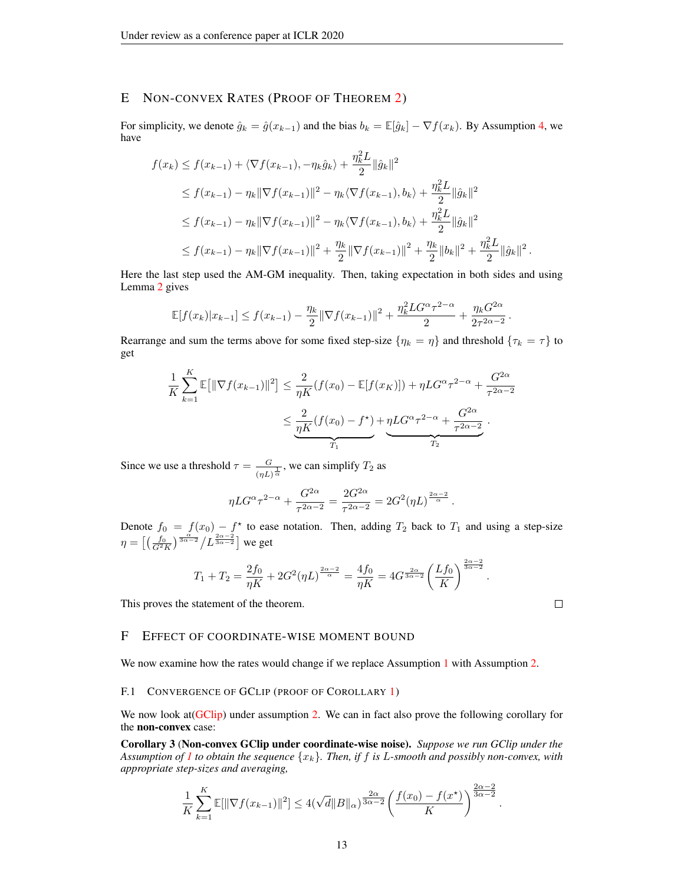# E NON-CONVEX RATES (PROOF OF THEOREM [2\)](#page-4-1)

For simplicity, we denote  $\hat{g}_k = \hat{g}(x_{k-1})$  and the bias  $b_k = \mathbb{E}[\hat{g}_k] - \nabla f(x_k)$ . By Assumption [4,](#page-10-2) we have

$$
f(x_k) \le f(x_{k-1}) + \langle \nabla f(x_{k-1}), -\eta_k \hat{g}_k \rangle + \frac{\eta_k^2 L}{2} ||\hat{g}_k||^2
$$
  
\n
$$
\le f(x_{k-1}) - \eta_k ||\nabla f(x_{k-1})||^2 - \eta_k \langle \nabla f(x_{k-1}), b_k \rangle + \frac{\eta_k^2 L}{2} ||\hat{g}_k||^2
$$
  
\n
$$
\le f(x_{k-1}) - \eta_k ||\nabla f(x_{k-1})||^2 - \eta_k \langle \nabla f(x_{k-1}), b_k \rangle + \frac{\eta_k^2 L}{2} ||\hat{g}_k||^2
$$
  
\n
$$
\le f(x_{k-1}) - \eta_k ||\nabla f(x_{k-1})||^2 + \frac{\eta_k}{2} ||\nabla f(x_{k-1})||^2 + \frac{\eta_k}{2} ||b_k||^2 + \frac{\eta_k^2 L}{2} ||\hat{g}_k||^2.
$$

Here the last step used the AM-GM inequality. Then, taking expectation in both sides and using Lemma [2](#page-10-1) gives

$$
\mathbb{E}[f(x_k)|x_{k-1}] \le f(x_{k-1}) - \frac{\eta_k}{2} \|\nabla f(x_{k-1})\|^2 + \frac{\eta_k^2 LG^{\alpha} \tau^{2-\alpha}}{2} + \frac{\eta_k G^{2\alpha}}{2\tau^{2\alpha-2}}.
$$

Rearrange and sum the terms above for some fixed step-size  $\{\eta_k = \eta\}$  and threshold  $\{\tau_k = \tau\}$  to get

$$
\frac{1}{K} \sum_{k=1}^{K} \mathbb{E}[\|\nabla f(x_{k-1})\|^2] \le \frac{2}{\eta K} (f(x_0) - \mathbb{E}[f(x_K)]) + \eta LG^{\alpha} \tau^{2-\alpha} + \frac{G^{2\alpha}}{\tau^{2\alpha-2}}
$$
\n
$$
\le \underbrace{\frac{2}{\eta K} (f(x_0) - f^*)}_{T_1} + \underbrace{\eta LG^{\alpha} \tau^{2-\alpha}}_{T_2} + \frac{G^{2\alpha}}{\tau^{2\alpha-2}}.
$$

Since we use a threshold  $\tau = \frac{G}{\sqrt{GM}}$  $\frac{G}{(\eta L)^{\frac{1}{\alpha}}}$ , we can simplify  $T_2$  as

$$
\eta LG^{\alpha} \tau^{2-\alpha} + \frac{G^{2\alpha}}{\tau^{2\alpha-2}} = \frac{2G^{2\alpha}}{\tau^{2\alpha-2}} = 2G^2(\eta L)^{\frac{2\alpha-2}{\alpha}}.
$$

Denote  $f_0 = f(x_0) - f^*$  to ease notation. Then, adding  $T_2$  back to  $T_1$  and using a step-size  $\eta = \left[\left(\frac{f_0}{G^2 K}\right)^{\frac{\alpha}{3\alpha-2}}\middle/L^{\frac{2\alpha-2}{3\alpha-2}}\right]$  we get

$$
T_1 + T_2 = \frac{2f_0}{\eta K} + 2G^2(\eta L)^{\frac{2\alpha - 2}{\alpha}} = \frac{4f_0}{\eta K} = 4G^{\frac{2\alpha}{3\alpha - 2}} \left(\frac{Lf_0}{K}\right)^{\frac{2\alpha - 2}{3\alpha - 2}}.
$$

This proves the statement of the theorem.

# <span id="page-12-1"></span>F EFFECT OF COORDINATE-WISE MOMENT BOUND

We now examine how the rates would change if we replace Assumption [1](#page-2-0) with Assumption [2.](#page-5-1)

#### F.1 CONVERGENCE OF GCLIP (PROOF OF COROLLARY [1\)](#page-5-3)

We now look at [\(GClip\)](#page-3-1) under assumption [2.](#page-5-1) We can in fact also prove the following corollary for the non-convex case:

<span id="page-12-0"></span>Corollary 3 (Non-convex GClip under coordinate-wise noise). *Suppose we run GClip under the Assumption of [1](#page-2-0) to obtain the sequence*  $\{x_k\}$ *. Then, if* f *is* L-smooth and possibly non-convex, with *appropriate step-sizes and averaging,*

$$
\frac{1}{K}\sum_{k=1}^K \mathbb{E}[\|\nabla f(x_{k-1})\|^2] \le 4(\sqrt{d} \|B\|_{\alpha})^{\frac{2\alpha}{3\alpha-2}} \left(\frac{f(x_0) - f(x^*)}{K}\right)^{\frac{2\alpha-2}{3\alpha-2}}.
$$

 $\Box$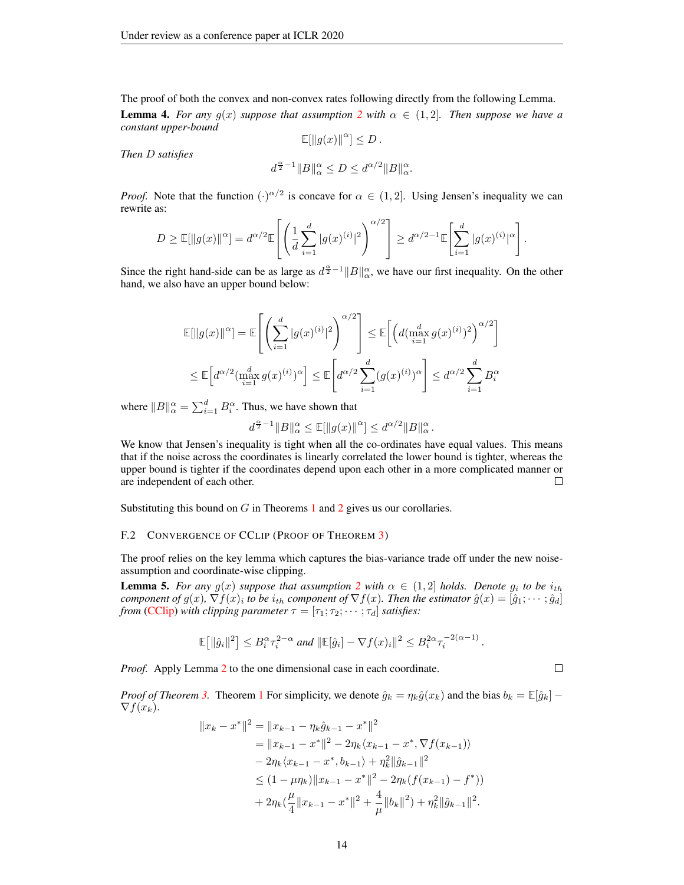<span id="page-13-0"></span>The proof of both the convex and non-convex rates following directly from the following Lemma. **Lemma 4.** For any  $g(x)$  suppose that assumption [2](#page-5-1) with  $\alpha \in (1, 2]$ . Then suppose we have a *constant upper-bound*

$$
\mathbb{E}[\|g(x)\|^{\alpha}] \leq D.
$$

*Then* D *satisfies*

$$
d^{\frac{\alpha}{2}-1}||B||_{\alpha}^{\alpha} \le D \le d^{\alpha/2}||B||_{\alpha}^{\alpha}.
$$

*Proof.* Note that the function  $(\cdot)^{\alpha/2}$  is concave for  $\alpha \in (1, 2]$ . Using Jensen's inequality we can rewrite as:

$$
D \ge \mathbb{E}[\|g(x)\|^{\alpha}] = d^{\alpha/2} \mathbb{E}\left[ \left( \frac{1}{d} \sum_{i=1}^d |g(x)^{(i)}|^2 \right)^{\alpha/2} \right] \ge d^{\alpha/2 - 1} \mathbb{E}\left[ \sum_{i=1}^d |g(x)^{(i)}|^{\alpha} \right].
$$

Since the right hand-side can be as large as  $d^{\frac{\alpha}{2}-1}||B||_{\alpha}^{\alpha}$ , we have our first inequality. On the other hand, we also have an upper bound below:

$$
\mathbb{E}[\|g(x)\|^{\alpha}] = \mathbb{E}\left[\left(\sum_{i=1}^{d} |g(x)^{(i)}|^2\right)^{\alpha/2}\right] \leq \mathbb{E}\left[\left(d(\max_{i=1}^{d} g(x)^{(i)})^2\right)^{\alpha/2}\right]
$$
  

$$
\leq \mathbb{E}\left[d^{\alpha/2}(\max_{i=1}^{d} g(x)^{(i)})^{\alpha}\right] \leq \mathbb{E}\left[d^{\alpha/2} \sum_{i=1}^{d} (g(x)^{(i)})^{\alpha}\right] \leq d^{\alpha/2} \sum_{i=1}^{d} B_i^{\alpha}
$$

where  $||B||_{\alpha}^{\alpha} = \sum_{i=1}^{d} B_i^{\alpha}$ . Thus, we have shown that

$$
d^{\frac{\alpha}{2}-1} \|B\|^\alpha_\alpha \leq \mathbb{E}[\|g(x)\|^\alpha] \leq d^{\alpha/2} \|B\|^\alpha_\alpha\,.
$$

We know that Jensen's inequality is tight when all the co-ordinates have equal values. This means that if the noise across the coordinates is linearly correlated the lower bound is tighter, whereas the upper bound is tighter if the coordinates depend upon each other in a more complicated manner or are independent of each other.  $\Box$ 

Substituting this bound on  $G$  in Theorems [1](#page-4-0) and [2](#page-4-1) gives us our corollaries.

#### F.2 CONVERGENCE OF CCLIP (PROOF OF THEOREM [3\)](#page-5-0)

The proof relies on the key lemma which captures the bias-variance trade off under the new noiseassumption and coordinate-wise clipping.

**Lemma 5.** For any  $g(x)$  suppose that assumption [2](#page-5-1) with  $\alpha \in (1,2]$  holds. Denote  $g_i$  to be  $i_{th}$ *component of*  $g(x)$ ,  $\nabla f(x)_i$  to be  $i_{th}$  *component of*  $\nabla f(x)$ . Then the estimator  $\hat{g}(x) = [\hat{g}_1; \cdots; \hat{g}_d]$ *from* [\(CClip\)](#page-3-2) *with clipping parameter*  $\tau = [\tau_1; \tau_2; \cdots; \tau_d]$  *satisfies:* 

$$
\mathbb{E}\big[\|\hat{g}_i\|^2\big] \leq B_i^{\alpha} \tau_i^{2-\alpha} \text{ and } \|\mathbb{E}[\hat{g}_i] - \nabla f(x)_i\|^2 \leq B_i^{2\alpha} \tau_i^{-2(\alpha-1)}
$$

*Proof.* Apply Lemma [2](#page-10-1) to the one dimensional case in each coordinate.

*Proof of Theorem* [3.](#page-5-0) Theorem [1](#page-4-0) For simplicity, we denote  $\hat{g}_k = \eta_k \hat{g}(x_k)$  and the bias  $b_k = \mathbb{E}[\hat{g}_k]$  –  $\nabla f(x_k)$ .

$$
||x_{k} - x^{*}||^{2} = ||x_{k-1} - \eta_{k}\hat{g}_{k-1} - x^{*}||^{2}
$$
  
\n
$$
= ||x_{k-1} - x^{*}||^{2} - 2\eta_{k}\langle x_{k-1} - x^{*}, \nabla f(x_{k-1})\rangle
$$
  
\n
$$
- 2\eta_{k}\langle x_{k-1} - x^{*}, b_{k-1}\rangle + \eta_{k}^{2}||\hat{g}_{k-1}||^{2}
$$
  
\n
$$
\leq (1 - \mu\eta_{k})||x_{k-1} - x^{*}||^{2} - 2\eta_{k}(f(x_{k-1}) - f^{*}))
$$
  
\n
$$
+ 2\eta_{k}(\frac{\mu}{4}||x_{k-1} - x^{*}||^{2} + \frac{4}{\mu}||b_{k}||^{2}) + \eta_{k}^{2}||\hat{g}_{k-1}||^{2}.
$$

 $\Box$ 

.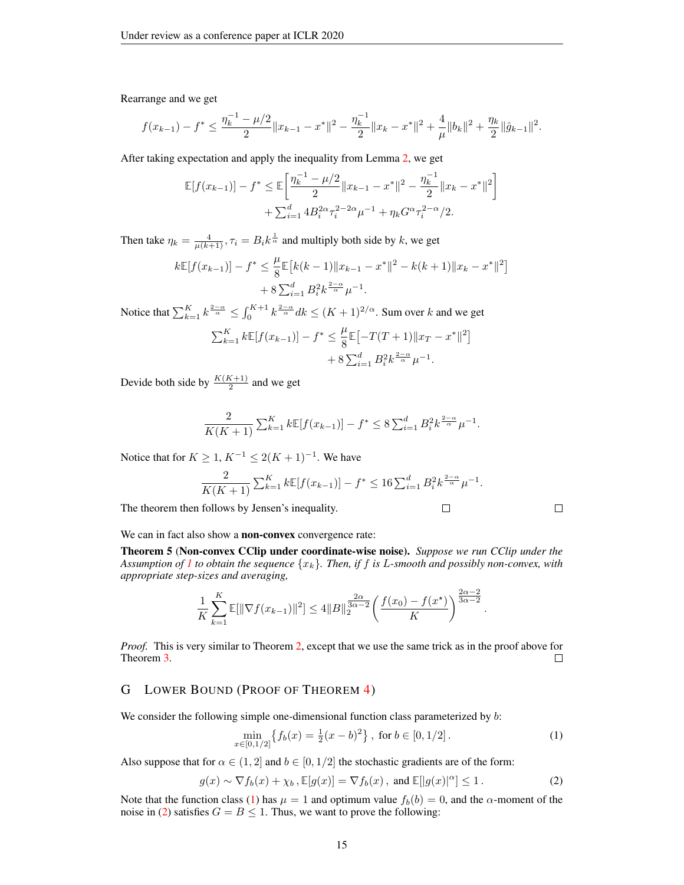Rearrange and we get

$$
f(x_{k-1}) - f^* \le \frac{\eta_k^{-1} - \mu/2}{2} \|x_{k-1} - x^*\|^2 - \frac{\eta_k^{-1}}{2} \|x_k - x^*\|^2 + \frac{4}{\mu} \|b_k\|^2 + \frac{\eta_k}{2} \|\hat{g}_{k-1}\|^2.
$$

After taking expectation and apply the inequality from Lemma [2,](#page-10-1) we get

$$
\mathbb{E}[f(x_{k-1})] - f^* \le \mathbb{E}\left[\frac{\eta_k^{-1} - \mu/2}{2} \|x_{k-1} - x^*\|^2 - \frac{\eta_k^{-1}}{2} \|x_k - x^*\|^2\right] + \sum_{i=1}^d 4B_i^{2\alpha} \tau_i^{2-2\alpha} \mu^{-1} + \eta_k G^{\alpha} \tau_i^{2-\alpha} / 2.
$$

Then take  $\eta_k = \frac{4}{\mu(k+1)}$ ,  $\tau_i = B_i k^{\frac{1}{\alpha}}$  and multiply both side by k, we get

$$
k\mathbb{E}[f(x_{k-1})] - f^* \le \frac{\mu}{8} \mathbb{E}[k(k-1)\|x_{k-1} - x^*\|^2 - k(k+1)\|x_k - x^*\|^2] + 8\sum_{i=1}^d B_i^2 k^{\frac{2-\alpha}{\alpha}} \mu^{-1}.
$$

Notice that  $\sum_{k=1}^{K} k^{\frac{2-\alpha}{\alpha}} \leq \int_0^{K+1} k^{\frac{2-\alpha}{\alpha}} dk \leq (K+1)^{2/\alpha}$ . Sum over k and we get

$$
\sum_{k=1}^{K} k \mathbb{E}[f(x_{k-1})] - f^* \le \frac{\mu}{8} \mathbb{E}[-T(T+1)\|x_T - x^*\|^2] + 8 \sum_{i=1}^{d} B_i^2 k^{\frac{2-\alpha}{\alpha}} \mu^{-1}.
$$

Devide both side by  $\frac{K(K+1)}{2}$  and we get

$$
\frac{2}{K(K+1)} \sum_{k=1}^{K} k \mathbb{E}[f(x_{k-1})] - f^* \le 8 \sum_{i=1}^{d} B_i^2 k^{\frac{2-\alpha}{\alpha}} \mu^{-1}.
$$

Notice that for  $K \geq 1, K^{-1} \leq 2(K+1)^{-1}$ . We have

$$
\frac{2}{K(K+1)} \sum_{k=1}^{K} k \mathbb{E}[f(x_{k-1})] - f^* \le 16 \sum_{i=1}^{d} B_i^2 k^{\frac{2-\alpha}{\alpha}} \mu^{-1}.
$$
  
follows by Jensen's inequality.

The theorem then follows by Jensen's inequality.

 $\Box$ 

.

#### We can in fact also show a **non-convex** convergence rate:

<span id="page-14-0"></span>Theorem 5 (Non-convex CClip under coordinate-wise noise). *Suppose we run CClip under the Assumption of [1](#page-2-0) to obtain the sequence*  ${x_k}$ *. Then, if f is L*-smooth and possibly non-convex, with *appropriate step-sizes and averaging,*

$$
\frac{1}{K} \sum_{k=1}^{K} \mathbb{E}[\|\nabla f(x_{k-1})\|^2] \le 4\|B\|_2^{\frac{2\alpha}{3\alpha-2}} \left(\frac{f(x_0) - f(x^*)}{K}\right)^{\frac{2\alpha-2}{3\alpha-2}}
$$

*Proof.* This is very similar to Theorem [2,](#page-4-1) except that we use the same trick as in the proof above for Theorem [3.](#page-5-0)  $\Box$ 

### G LOWER BOUND (PROOF OF THEOREM [4\)](#page-5-2)

We consider the following simple one-dimensional function class parameterized by  $b$ :

<span id="page-14-1"></span>
$$
\min_{x \in [0,1/2]} \{ f_b(x) = \frac{1}{2}(x-b)^2 \}, \text{ for } b \in [0,1/2].
$$
 (1)

Also suppose that for  $\alpha \in (1,2]$  and  $b \in [0,1/2]$  the stochastic gradients are of the form:

<span id="page-14-2"></span>
$$
g(x) \sim \nabla f_b(x) + \chi_b \,, \mathbb{E}[g(x)] = \nabla f_b(x) \,, \text{ and } \mathbb{E}[|g(x)|^{\alpha}] \le 1 \,. \tag{2}
$$

Note that the function class [\(1\)](#page-14-1) has  $\mu = 1$  and optimum value  $f_b(b) = 0$ , and the  $\alpha$ -moment of the noise in [\(2\)](#page-14-2) satisfies  $G = B \le 1$ . Thus, we want to prove the following: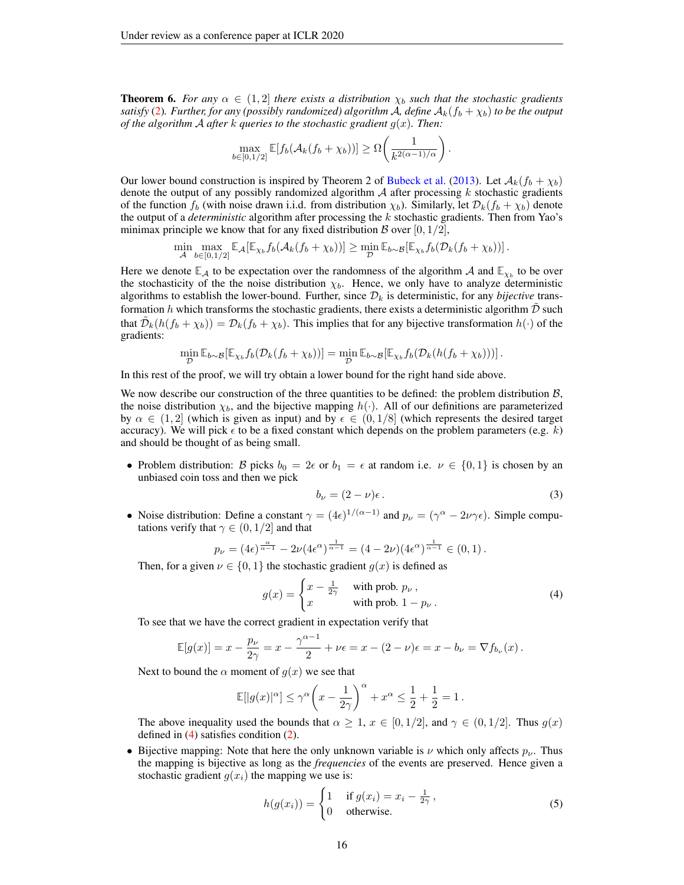**Theorem 6.** For any  $\alpha \in (1,2]$  there exists a distribution  $\chi_b$  such that the stochastic gradients *satisfy* [\(2\)](#page-14-2). Further, for any (possibly randomized) algorithm A, define  $A_k(f_b + \chi_b)$  to be the output *of the algorithm* A *after*  $k$  *queries to the stochastic gradient*  $g(x)$ *. Then:* 

$$
\max_{b \in [0,1/2]} \mathbb{E}[f_b(\mathcal{A}_k(f_b + \chi_b))] \geq \Omega\bigg(\frac{1}{k^{2(\alpha-1)/\alpha}}\bigg).
$$

Our lower bound construction is inspired by Theorem 2 of [Bubeck et al.](#page-8-18) [\(2013\)](#page-8-18). Let  $\mathcal{A}_k(f_b + \chi_b)$ denote the output of any possibly randomized algorithm  $A$  after processing  $k$  stochastic gradients of the function  $f_b$  (with noise drawn i.i.d. from distribution  $\chi_b$ ). Similarly, let  $\mathcal{D}_k(f_b + \chi_b)$  denote the output of a *deterministic* algorithm after processing the k stochastic gradients. Then from Yao's minimax principle we know that for any fixed distribution B over [0,  $1/2$ ],

$$
\min_{\mathcal{A}} \max_{b \in [0,1/2]} \mathbb{E}_{\mathcal{A}}[\mathbb{E}_{\chi_b} f_b(\mathcal{A}_k(f_b + \chi_b))] \geq \min_{\mathcal{D}} \mathbb{E}_{b \sim \mathcal{B}}[\mathbb{E}_{\chi_b} f_b(\mathcal{D}_k(f_b + \chi_b))].
$$

Here we denote  $\mathbb{E}_{\mathcal{A}}$  to be expectation over the randomness of the algorithm  $\mathcal{A}$  and  $\mathbb{E}_{\chi_b}$  to be over the stochasticity of the the noise distribution  $\chi_b$ . Hence, we only have to analyze deterministic algorithms to establish the lower-bound. Further, since  $\mathcal{D}_k$  is deterministic, for any *bijective* transformation h which transforms the stochastic gradients, there exists a deterministic algorithm  $D$  such that  $\tilde{\mathcal{D}}_k(h(f_b + \chi_b)) = \mathcal{D}_k(f_b + \chi_b)$ . This implies that for any bijective transformation  $h(\cdot)$  of the gradients:

$$
\min_{\mathcal{D}} \mathbb{E}_{b \sim \mathcal{B}}[\mathbb{E}_{\chi_b} f_b(\mathcal{D}_k(f_b + \chi_b))] = \min_{\mathcal{D}} \mathbb{E}_{b \sim \mathcal{B}}[\mathbb{E}_{\chi_b} f_b(\mathcal{D}_k(h(f_b + \chi_b)))]\,.
$$

In this rest of the proof, we will try obtain a lower bound for the right hand side above.

We now describe our construction of the three quantities to be defined: the problem distribution  $\mathcal{B}$ , the noise distribution  $\chi_b$ , and the bijective mapping  $h(\cdot)$ . All of our definitions are parameterized by  $\alpha \in (1, 2]$  (which is given as input) and by  $\epsilon \in (0, 1/8]$  (which represents the desired target accuracy). We will pick  $\epsilon$  to be a fixed constant which depends on the problem parameters (e.g.  $k$ ) and should be thought of as being small.

• Problem distribution: B picks  $b_0 = 2\epsilon$  or  $b_1 = \epsilon$  at random i.e.  $\nu \in \{0,1\}$  is chosen by an unbiased coin toss and then we pick

<span id="page-15-1"></span>
$$
b_{\nu} = (2 - \nu)\epsilon. \tag{3}
$$

• Noise distribution: Define a constant  $\gamma = (4\epsilon)^{1/(\alpha-1)}$  and  $p_{\nu} = (\gamma^{\alpha} - 2\nu\gamma\epsilon)$ . Simple computations verify that  $\gamma \in (0, 1/2]$  and that

$$
p_{\nu} = (4\epsilon)^{\frac{\alpha}{\alpha - 1}} - 2\nu(4\epsilon^{\alpha})^{\frac{1}{\alpha - 1}} = (4 - 2\nu)(4\epsilon^{\alpha})^{\frac{1}{\alpha - 1}} \in (0, 1).
$$

Then, for a given  $\nu \in \{0, 1\}$  the stochastic gradient  $g(x)$  is defined as

<span id="page-15-0"></span>
$$
g(x) = \begin{cases} x - \frac{1}{2\gamma} & \text{with prob. } p_{\nu} \,, \\ x & \text{with prob. } 1 - p_{\nu} \,. \end{cases}
$$
 (4)

To see that we have the correct gradient in expectation verify that

$$
\mathbb{E}[g(x)] = x - \frac{p_{\nu}}{2\gamma} = x - \frac{\gamma^{\alpha-1}}{2} + \nu \epsilon = x - (2 - \nu)\epsilon = x - b_{\nu} = \nabla f_{b_{\nu}}(x).
$$

Next to bound the  $\alpha$  moment of  $g(x)$  we see that

$$
\mathbb{E}[|g(x)|^\alpha] \leq \gamma^\alpha \bigg( x - \frac{1}{2\gamma} \bigg)^\alpha + x^\alpha \leq \frac{1}{2} + \frac{1}{2} = 1 \,.
$$

The above inequality used the bounds that  $\alpha \geq 1$ ,  $x \in [0, 1/2]$ , and  $\gamma \in (0, 1/2]$ . Thus  $g(x)$ defined in  $(4)$  satisfies condition  $(2)$ .

• Bijective mapping: Note that here the only unknown variable is  $\nu$  which only affects  $p_{\nu}$ . Thus the mapping is bijective as long as the *frequencies* of the events are preserved. Hence given a stochastic gradient  $g(x_i)$  the mapping we use is:

<span id="page-15-2"></span>
$$
h(g(x_i)) = \begin{cases} 1 & \text{if } g(x_i) = x_i - \frac{1}{2\gamma}, \\ 0 & \text{otherwise.} \end{cases}
$$
 (5)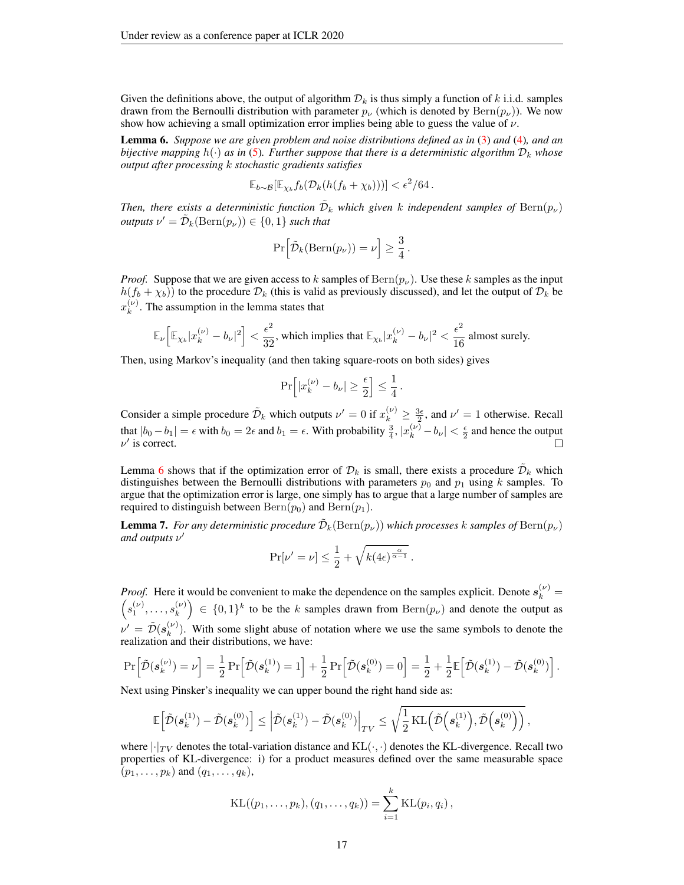Given the definitions above, the output of algorithm  $\mathcal{D}_k$  is thus simply a function of k i.i.d. samples drawn from the Bernoulli distribution with parameter  $p_{\nu}$  (which is denoted by  $\text{Bern}(p_{\nu})$ ). We now show how achieving a small optimization error implies being able to guess the value of  $\nu$ .

<span id="page-16-0"></span>Lemma 6. *Suppose we are given problem and noise distributions defined as in* [\(3\)](#page-15-1) *and* [\(4\)](#page-15-0)*, and an bijective mapping*  $h(\cdot)$  *as in* [\(5\)](#page-15-2)*. Further suppose that there is a deterministic algorithm*  $D_k$  *whose output after processing* k *stochastic gradients satisfies*

$$
\mathbb{E}_{b\sim\mathcal{B}}[\mathbb{E}_{\chi_b}f_b(\mathcal{D}_k(h(f_b+\chi_b)))] < \epsilon^2/64.
$$

*Then, there exists a deterministic function*  $\tilde{\mathcal{D}}_k$  which given k independent samples of  $\text{Bern}(p_\nu)$  $outputs \nu' = \tilde{\mathcal{D}}_k(\text{Bern}(p_{\nu})) \in \{0,1\}$  *such that* 

$$
\Pr\Big[\tilde{\mathcal{D}}_k(\text{Bern}(p_\nu)) = \nu\Big] \geq \frac{3}{4}.
$$

*Proof.* Suppose that we are given access to k samples of  $\text{Bern}(p_{\nu})$ . Use these k samples as the input  $h(f_b + \chi_b)$ ) to the procedure  $\mathcal{D}_k$  (this is valid as previously discussed), and let the output of  $\mathcal{D}_k$  be  $x_k^{(\nu)}$  $k^{(\nu)}$ . The assumption in the lemma states that

$$
\mathbb{E}_\nu\Big[\mathbb{E}_{\chi_b}|x_k^{(\nu)}-b_\nu|^2\Big]<\frac{\epsilon^2}{32},\text{ which implies that }\mathbb{E}_{\chi_b}|x_k^{(\nu)}-b_\nu|^2<\frac{\epsilon^2}{16}\text{ almost surely.}
$$

Then, using Markov's inequality (and then taking square-roots on both sides) gives

$$
\Pr\Bigl[|x_k^{(\nu)}-b_\nu|\geq\frac{\epsilon}{2}\Bigr]\leq\frac{1}{4}\,.
$$

Consider a simple procedure  $\tilde{\mathcal{D}}_k$  which outputs  $\nu' = 0$  if  $x_k^{(\nu)} \ge \frac{3\epsilon}{2}$ , and  $\nu' = 1$  otherwise. Recall that  $|b_0 - b_1| = \epsilon$  with  $b_0 = 2\epsilon$  and  $b_1 = \epsilon$ . With probability  $\frac{3}{4}$ ,  $|x_k^{(\nu)} - b_{\nu}| < \frac{\epsilon}{2}$  and hence the output  $\nu'$  is correct.

Lemma [6](#page-16-0) shows that if the optimization error of  $\mathcal{D}_k$  is small, there exists a procedure  $\tilde{\mathcal{D}}_k$  which distinguishes between the Bernoulli distributions with parameters  $p_0$  and  $p_1$  using k samples. To argue that the optimization error is large, one simply has to argue that a large number of samples are required to distinguish between  $\text{Bern}(p_0)$  and  $\text{Bern}(p_1)$ .

<span id="page-16-1"></span>**Lemma 7.** For any deterministic procedure  $\tilde{\mathcal{D}}_k(\text{Bern}(p_\nu))$  which processes  $k$  samples of  $\text{Bern}(p_\nu)$ *and outputs*  $ν'$ 

$$
\Pr[\nu' = \nu] \le \frac{1}{2} + \sqrt{k(4\epsilon)^{\frac{\alpha}{\alpha - 1}}}.
$$

*Proof.* Here it would be convenient to make the dependence on the samples explicit. Denote  $s_k^{(\nu)}$ *Proof.* Here it would be convenient to make the dependence on the samples explicit. Denote  $s_k^{(\nu)} = (s_1^{(\nu)}, \ldots, s_k^{(\nu)}) \in \{0,1\}^k$  to be the k samples drawn from  $\text{Bern}(p_{\nu})$  and denote the output as  $\binom{\nu}{k} \in \{0,1\}^k$  to be the k samples drawn from  $\text{Bern}(p_{\nu})$  and denote the output as  $\nu' = \tilde{\mathcal{D}}(\boldsymbol{s}_k^{(\nu)}$  $\binom{v}{k}$ . With some slight abuse of notation where we use the same symbols to denote the realization and their distributions, we have:

$$
\Pr\Big[\tilde{\mathcal{D}}(s_k^{(\nu)}) = \nu\Big] = \frac{1}{2} \Pr\Big[\tilde{\mathcal{D}}(s_k^{(1)}) = 1\Big] + \frac{1}{2} \Pr\Big[\tilde{\mathcal{D}}(s_k^{(0)}) = 0\Big] = \frac{1}{2} + \frac{1}{2} \mathbb{E}\Big[\tilde{\mathcal{D}}(s_k^{(1)}) - \tilde{\mathcal{D}}(s_k^{(0)})\Big].
$$

Next using Pinsker's inequality we can upper bound the right hand side as:

$$
\mathbb{E}\Big[\tilde{\mathcal{D}}(\boldsymbol{s}_k^{(1)}) - \tilde{\mathcal{D}}(\boldsymbol{s}_k^{(0)}) \Big] \leq \Big|\tilde{\mathcal{D}}(\boldsymbol{s}_k^{(1)}) - \tilde{\mathcal{D}}(\boldsymbol{s}_k^{(0)}) \Big|_{TV} \leq \sqrt{\frac{1}{2} \operatorname{KL}\Big(\tilde{\mathcal{D}}\Big(\boldsymbol{s}_k^{(1)}\Big), \tilde{\mathcal{D}}\Big(\boldsymbol{s}_k^{(0)}\Big)\Big)}\,,
$$

where  $|\cdot|_{TV}$  denotes the total-variation distance and  $KL(\cdot, \cdot)$  denotes the KL-divergence. Recall two properties of KL-divergence: i) for a product measures defined over the same measurable space  $(p_1, \ldots, p_k)$  and  $(q_1, \ldots, q_k)$ ,

KL
$$
((p_1, ..., p_k), (q_1, ..., q_k)) = \sum_{i=1}^k KL(p_i, q_i),
$$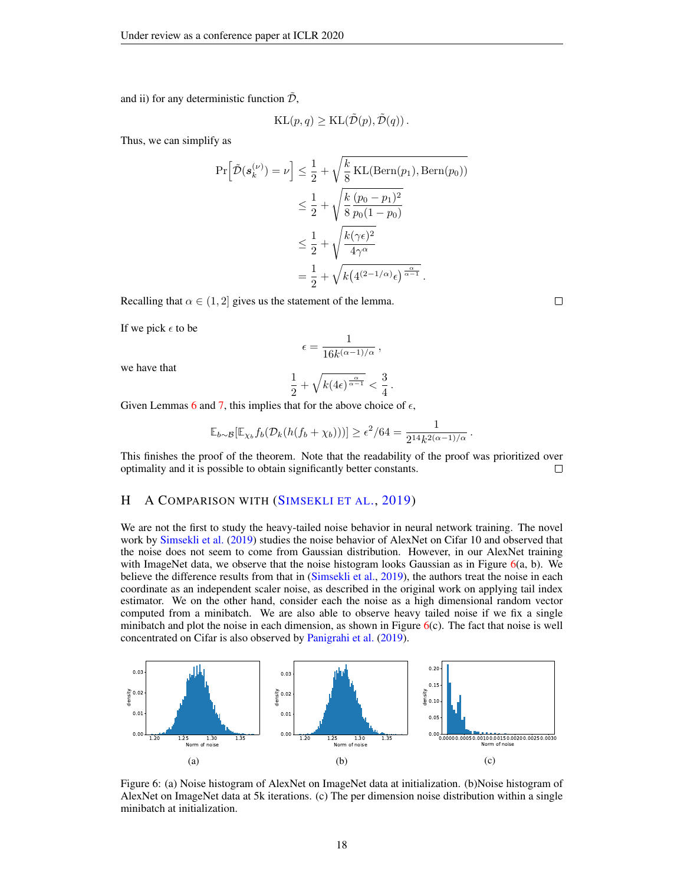and ii) for any deterministic function  $\tilde{\mathcal{D}}$ ,

$$
KL(p, q) \geq KL(\tilde{\mathcal{D}}(p), \tilde{\mathcal{D}}(q)).
$$

Thus, we can simplify as

$$
\Pr\left[\tilde{\mathcal{D}}(\mathbf{s}_k^{(\nu)}) = \nu\right] \le \frac{1}{2} + \sqrt{\frac{k}{8} \text{KL}(\text{Bern}(p_1), \text{Bern}(p_0))}
$$

$$
\le \frac{1}{2} + \sqrt{\frac{k}{8} \frac{(p_0 - p_1)^2}{p_0 (1 - p_0)}}
$$

$$
\le \frac{1}{2} + \sqrt{\frac{k(\gamma \epsilon)^2}{4\gamma^{\alpha}}}
$$

$$
= \frac{1}{2} + \sqrt{k(4^{(2-1/\alpha)}\epsilon)^{\frac{\alpha}{\alpha - 1}}}.
$$

Recalling that  $\alpha \in (1, 2]$  gives us the statement of the lemma.

If we pick  $\epsilon$  to be

$$
\epsilon = \frac{1}{16k^{(\alpha - 1)/\alpha}}\,,
$$

we have that

$$
\frac{1}{2} + \sqrt{k(4\epsilon)^{\frac{\alpha}{\alpha - 1}}} < \frac{3}{4}
$$

.

Given Lemmas [6](#page-16-0) and [7,](#page-16-1) this implies that for the above choice of  $\epsilon$ ,

$$
\mathbb{E}_{b\sim\mathcal{B}}[\mathbb{E}_{\chi_b}f_b(\mathcal{D}_k(h(f_b+\chi_b)))] \geq \epsilon^2/64 = \frac{1}{2^{14}k^{2(\alpha-1)/\alpha}}.
$$

This finishes the proof of the theorem. Note that the readability of the proof was prioritized over optimality and it is possible to obtain significantly better constants.  $\Box$ 

### <span id="page-17-0"></span>H A COMPARISON WITH (S[IMSEKLI ET AL](#page-8-15)., [2019\)](#page-8-15)

We are not the first to study the heavy-tailed noise behavior in neural network training. The novel work by [Simsekli et al.](#page-8-15) [\(2019\)](#page-8-15) studies the noise behavior of AlexNet on Cifar 10 and observed that the noise does not seem to come from Gaussian distribution. However, in our AlexNet training with ImageNet data, we observe that the noise histogram looks Gaussian as in Figure  $6(a, b)$  $6(a, b)$ . We believe the difference results from that in [\(Simsekli et al.,](#page-8-15) [2019\)](#page-8-15), the authors treat the noise in each coordinate as an independent scaler noise, as described in the original work on applying tail index estimator. We on the other hand, consider each the noise as a high dimensional random vector computed from a minibatch. We are also able to observe heavy tailed noise if we fix a single minibatch and plot the noise in each dimension, as shown in Figure  $6(c)$  $6(c)$ . The fact that noise is well concentrated on Cifar is also observed by [Panigrahi et al.](#page-8-19) [\(2019\)](#page-8-19).

<span id="page-17-1"></span>

Figure 6: (a) Noise histogram of AlexNet on ImageNet data at initialization. (b)Noise histogram of AlexNet on ImageNet data at 5k iterations. (c) The per dimension noise distribution within a single minibatch at initialization.

 $\Box$